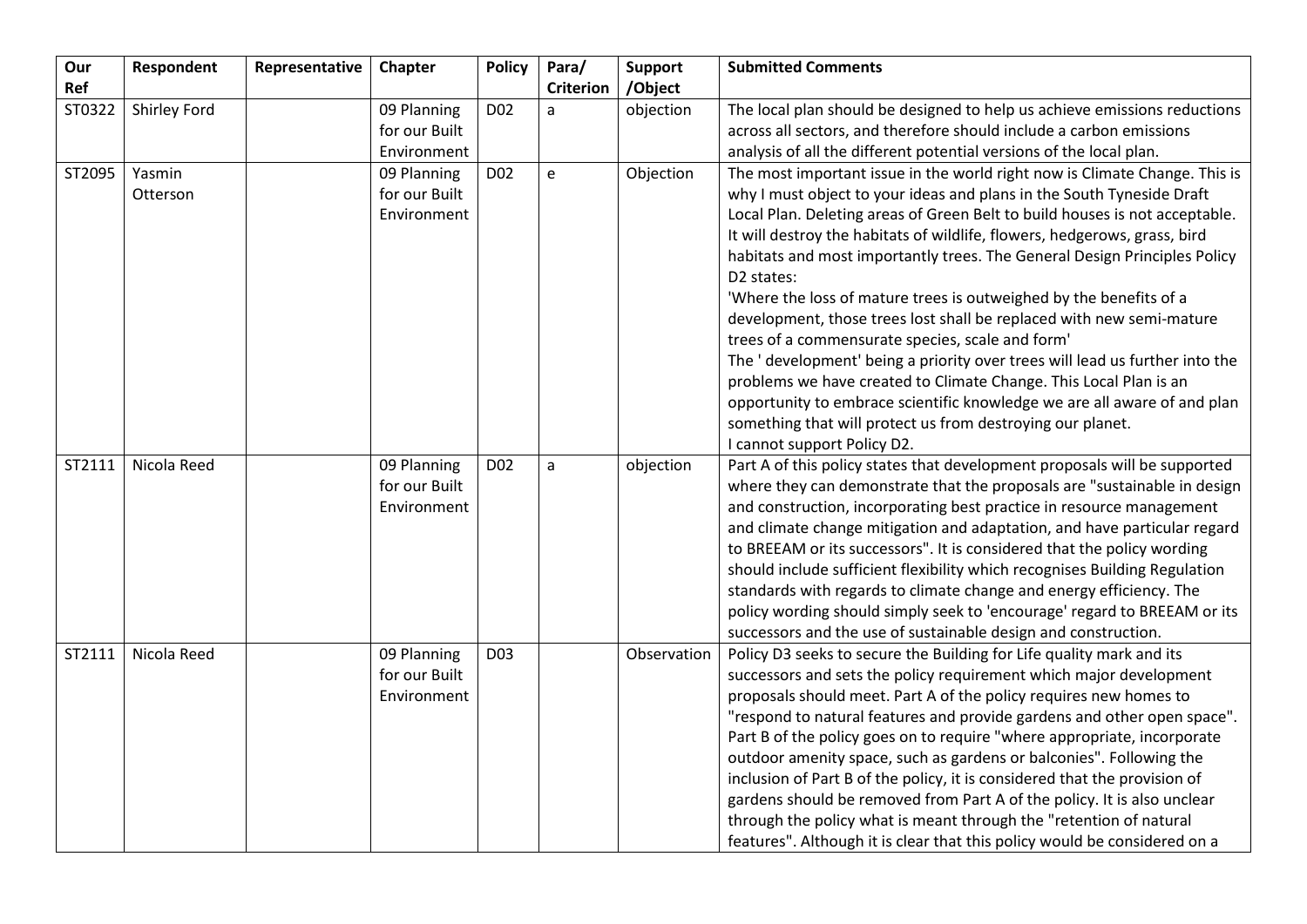| Our    | Respondent         | Representative | Chapter                                     | <b>Policy</b>   | Para/            | <b>Support</b> | <b>Submitted Comments</b>                                                                                                                                                                                                                                                                                                                                                                                                                                                                                                                                                                                                                                                                                                                                                                                                                                                                                                                  |
|--------|--------------------|----------------|---------------------------------------------|-----------------|------------------|----------------|--------------------------------------------------------------------------------------------------------------------------------------------------------------------------------------------------------------------------------------------------------------------------------------------------------------------------------------------------------------------------------------------------------------------------------------------------------------------------------------------------------------------------------------------------------------------------------------------------------------------------------------------------------------------------------------------------------------------------------------------------------------------------------------------------------------------------------------------------------------------------------------------------------------------------------------------|
| Ref    |                    |                |                                             |                 | <b>Criterion</b> | /Object        |                                                                                                                                                                                                                                                                                                                                                                                                                                                                                                                                                                                                                                                                                                                                                                                                                                                                                                                                            |
| ST0322 | Shirley Ford       |                | 09 Planning                                 | D <sub>02</sub> | a                | objection      | The local plan should be designed to help us achieve emissions reductions                                                                                                                                                                                                                                                                                                                                                                                                                                                                                                                                                                                                                                                                                                                                                                                                                                                                  |
|        |                    |                | for our Built                               |                 |                  |                | across all sectors, and therefore should include a carbon emissions                                                                                                                                                                                                                                                                                                                                                                                                                                                                                                                                                                                                                                                                                                                                                                                                                                                                        |
|        |                    |                | Environment                                 |                 |                  |                | analysis of all the different potential versions of the local plan.                                                                                                                                                                                                                                                                                                                                                                                                                                                                                                                                                                                                                                                                                                                                                                                                                                                                        |
| ST2095 | Yasmin<br>Otterson |                | 09 Planning<br>for our Built<br>Environment | D <sub>02</sub> | e                | Objection      | The most important issue in the world right now is Climate Change. This is<br>why I must object to your ideas and plans in the South Tyneside Draft<br>Local Plan. Deleting areas of Green Belt to build houses is not acceptable.<br>It will destroy the habitats of wildlife, flowers, hedgerows, grass, bird<br>habitats and most importantly trees. The General Design Principles Policy<br>D2 states:<br>'Where the loss of mature trees is outweighed by the benefits of a<br>development, those trees lost shall be replaced with new semi-mature<br>trees of a commensurate species, scale and form'<br>The ' development' being a priority over trees will lead us further into the<br>problems we have created to Climate Change. This Local Plan is an<br>opportunity to embrace scientific knowledge we are all aware of and plan<br>something that will protect us from destroying our planet.<br>I cannot support Policy D2. |
| ST2111 | Nicola Reed        |                | 09 Planning<br>for our Built<br>Environment | D <sub>02</sub> | $\mathsf{a}$     | objection      | Part A of this policy states that development proposals will be supported<br>where they can demonstrate that the proposals are "sustainable in design<br>and construction, incorporating best practice in resource management<br>and climate change mitigation and adaptation, and have particular regard<br>to BREEAM or its successors". It is considered that the policy wording<br>should include sufficient flexibility which recognises Building Regulation<br>standards with regards to climate change and energy efficiency. The<br>policy wording should simply seek to 'encourage' regard to BREEAM or its<br>successors and the use of sustainable design and construction.                                                                                                                                                                                                                                                     |
| ST2111 | Nicola Reed        |                | 09 Planning<br>for our Built<br>Environment | D <sub>03</sub> |                  | Observation    | Policy D3 seeks to secure the Building for Life quality mark and its<br>successors and sets the policy requirement which major development<br>proposals should meet. Part A of the policy requires new homes to<br>"respond to natural features and provide gardens and other open space".<br>Part B of the policy goes on to require "where appropriate, incorporate<br>outdoor amenity space, such as gardens or balconies". Following the<br>inclusion of Part B of the policy, it is considered that the provision of<br>gardens should be removed from Part A of the policy. It is also unclear<br>through the policy what is meant through the "retention of natural<br>features". Although it is clear that this policy would be considered on a                                                                                                                                                                                    |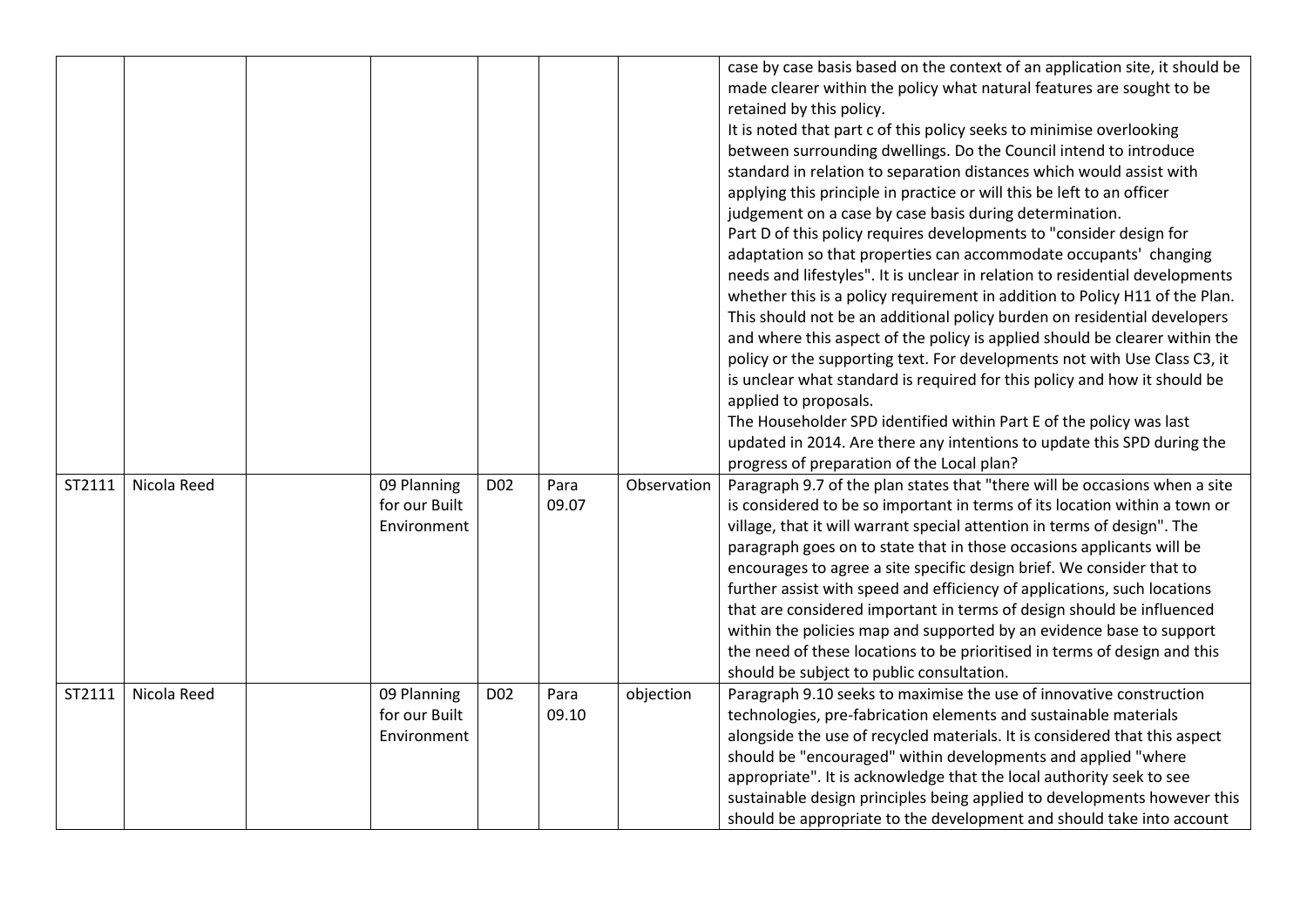|        |             |                                             |                 |               |             | case by case basis based on the context of an application site, it should be<br>made clearer within the policy what natural features are sought to be<br>retained by this policy.<br>It is noted that part c of this policy seeks to minimise overlooking<br>between surrounding dwellings. Do the Council intend to introduce<br>standard in relation to separation distances which would assist with<br>applying this principle in practice or will this be left to an officer<br>judgement on a case by case basis during determination.<br>Part D of this policy requires developments to "consider design for<br>adaptation so that properties can accommodate occupants' changing<br>needs and lifestyles". It is unclear in relation to residential developments<br>whether this is a policy requirement in addition to Policy H11 of the Plan.<br>This should not be an additional policy burden on residential developers<br>and where this aspect of the policy is applied should be clearer within the<br>policy or the supporting text. For developments not with Use Class C3, it<br>is unclear what standard is required for this policy and how it should be<br>applied to proposals.<br>The Householder SPD identified within Part E of the policy was last<br>updated in 2014. Are there any intentions to update this SPD during the<br>progress of preparation of the Local plan? |
|--------|-------------|---------------------------------------------|-----------------|---------------|-------------|------------------------------------------------------------------------------------------------------------------------------------------------------------------------------------------------------------------------------------------------------------------------------------------------------------------------------------------------------------------------------------------------------------------------------------------------------------------------------------------------------------------------------------------------------------------------------------------------------------------------------------------------------------------------------------------------------------------------------------------------------------------------------------------------------------------------------------------------------------------------------------------------------------------------------------------------------------------------------------------------------------------------------------------------------------------------------------------------------------------------------------------------------------------------------------------------------------------------------------------------------------------------------------------------------------------------------------------------------------------------------------------------------|
| ST2111 | Nicola Reed | 09 Planning<br>for our Built<br>Environment | D <sub>02</sub> | Para<br>09.07 | Observation | Paragraph 9.7 of the plan states that "there will be occasions when a site<br>is considered to be so important in terms of its location within a town or<br>village, that it will warrant special attention in terms of design". The<br>paragraph goes on to state that in those occasions applicants will be<br>encourages to agree a site specific design brief. We consider that to<br>further assist with speed and efficiency of applications, such locations<br>that are considered important in terms of design should be influenced<br>within the policies map and supported by an evidence base to support<br>the need of these locations to be prioritised in terms of design and this<br>should be subject to public consultation.                                                                                                                                                                                                                                                                                                                                                                                                                                                                                                                                                                                                                                                        |
| ST2111 | Nicola Reed | 09 Planning<br>for our Built<br>Environment | D <sub>02</sub> | Para<br>09.10 | objection   | Paragraph 9.10 seeks to maximise the use of innovative construction<br>technologies, pre-fabrication elements and sustainable materials<br>alongside the use of recycled materials. It is considered that this aspect<br>should be "encouraged" within developments and applied "where<br>appropriate". It is acknowledge that the local authority seek to see<br>sustainable design principles being applied to developments however this<br>should be appropriate to the development and should take into account                                                                                                                                                                                                                                                                                                                                                                                                                                                                                                                                                                                                                                                                                                                                                                                                                                                                                  |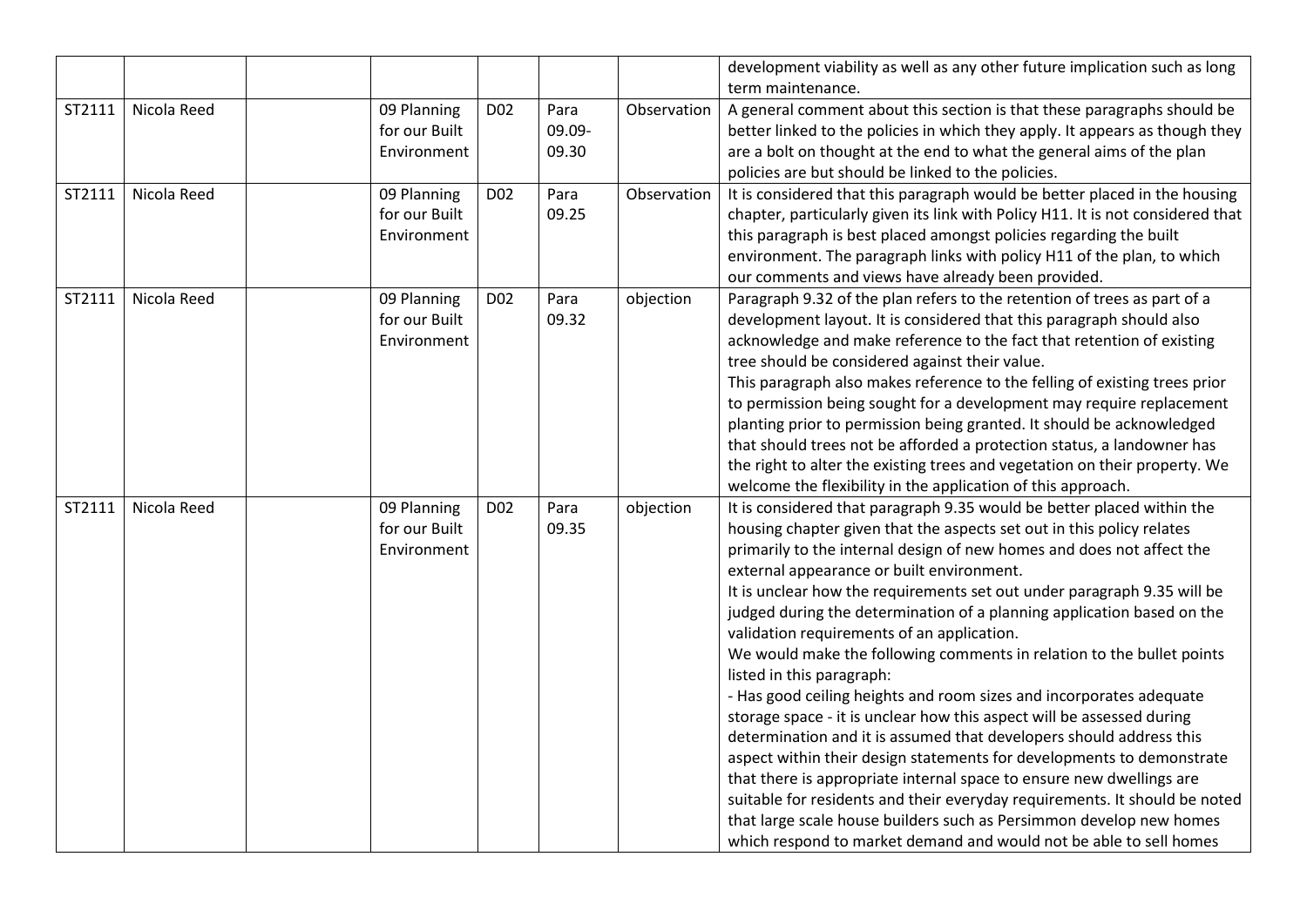|        |             |                                             |                 |                         |             | development viability as well as any other future implication such as long                                                                                                                                                                                                                                                                                                                                                                                                                                                                                                                                                                                                                                                                                                                                                                                                                                                                                                                                                                                                                                                                                                        |
|--------|-------------|---------------------------------------------|-----------------|-------------------------|-------------|-----------------------------------------------------------------------------------------------------------------------------------------------------------------------------------------------------------------------------------------------------------------------------------------------------------------------------------------------------------------------------------------------------------------------------------------------------------------------------------------------------------------------------------------------------------------------------------------------------------------------------------------------------------------------------------------------------------------------------------------------------------------------------------------------------------------------------------------------------------------------------------------------------------------------------------------------------------------------------------------------------------------------------------------------------------------------------------------------------------------------------------------------------------------------------------|
|        |             |                                             |                 |                         |             | term maintenance.                                                                                                                                                                                                                                                                                                                                                                                                                                                                                                                                                                                                                                                                                                                                                                                                                                                                                                                                                                                                                                                                                                                                                                 |
| ST2111 | Nicola Reed | 09 Planning<br>for our Built<br>Environment | D <sub>02</sub> | Para<br>09.09-<br>09.30 | Observation | A general comment about this section is that these paragraphs should be<br>better linked to the policies in which they apply. It appears as though they<br>are a bolt on thought at the end to what the general aims of the plan<br>policies are but should be linked to the policies.                                                                                                                                                                                                                                                                                                                                                                                                                                                                                                                                                                                                                                                                                                                                                                                                                                                                                            |
| ST2111 | Nicola Reed | 09 Planning<br>for our Built<br>Environment | D <sub>02</sub> | Para<br>09.25           | Observation | It is considered that this paragraph would be better placed in the housing<br>chapter, particularly given its link with Policy H11. It is not considered that<br>this paragraph is best placed amongst policies regarding the built<br>environment. The paragraph links with policy H11 of the plan, to which<br>our comments and views have already been provided.                                                                                                                                                                                                                                                                                                                                                                                                                                                                                                                                                                                                                                                                                                                                                                                                               |
| ST2111 | Nicola Reed | 09 Planning<br>for our Built<br>Environment | D <sub>02</sub> | Para<br>09.32           | objection   | Paragraph 9.32 of the plan refers to the retention of trees as part of a<br>development layout. It is considered that this paragraph should also<br>acknowledge and make reference to the fact that retention of existing<br>tree should be considered against their value.<br>This paragraph also makes reference to the felling of existing trees prior<br>to permission being sought for a development may require replacement<br>planting prior to permission being granted. It should be acknowledged<br>that should trees not be afforded a protection status, a landowner has<br>the right to alter the existing trees and vegetation on their property. We<br>welcome the flexibility in the application of this approach.                                                                                                                                                                                                                                                                                                                                                                                                                                                |
| ST2111 | Nicola Reed | 09 Planning<br>for our Built<br>Environment | D <sub>02</sub> | Para<br>09.35           | objection   | It is considered that paragraph 9.35 would be better placed within the<br>housing chapter given that the aspects set out in this policy relates<br>primarily to the internal design of new homes and does not affect the<br>external appearance or built environment.<br>It is unclear how the requirements set out under paragraph 9.35 will be<br>judged during the determination of a planning application based on the<br>validation requirements of an application.<br>We would make the following comments in relation to the bullet points<br>listed in this paragraph:<br>- Has good ceiling heights and room sizes and incorporates adequate<br>storage space - it is unclear how this aspect will be assessed during<br>determination and it is assumed that developers should address this<br>aspect within their design statements for developments to demonstrate<br>that there is appropriate internal space to ensure new dwellings are<br>suitable for residents and their everyday requirements. It should be noted<br>that large scale house builders such as Persimmon develop new homes<br>which respond to market demand and would not be able to sell homes |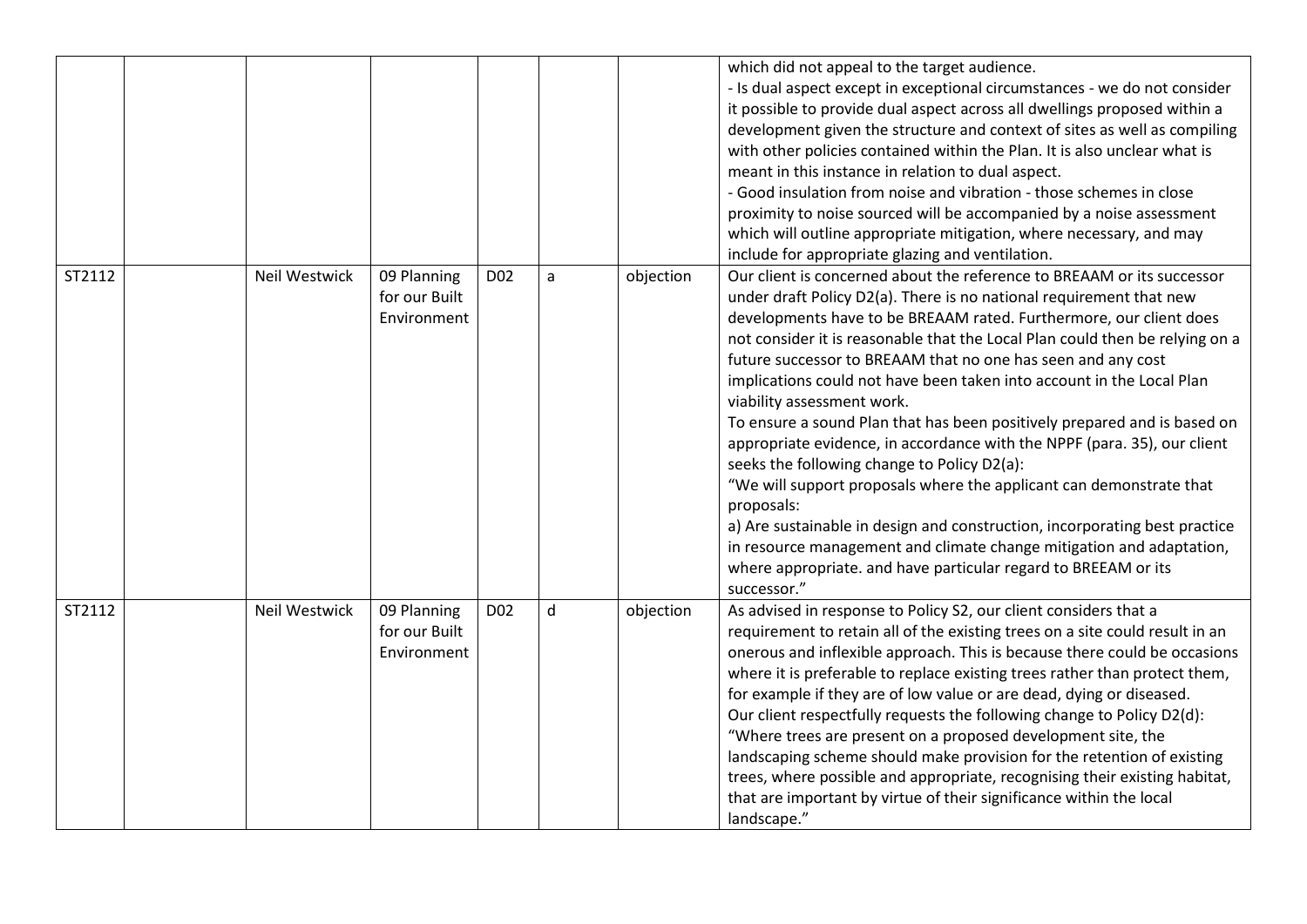|        |               |                                             |                 |   |           | which did not appeal to the target audience.<br>- Is dual aspect except in exceptional circumstances - we do not consider<br>it possible to provide dual aspect across all dwellings proposed within a<br>development given the structure and context of sites as well as compiling<br>with other policies contained within the Plan. It is also unclear what is<br>meant in this instance in relation to dual aspect.<br>- Good insulation from noise and vibration - those schemes in close<br>proximity to noise sourced will be accompanied by a noise assessment<br>which will outline appropriate mitigation, where necessary, and may<br>include for appropriate glazing and ventilation.                                                                                                                                                                                                                                                                                                              |
|--------|---------------|---------------------------------------------|-----------------|---|-----------|---------------------------------------------------------------------------------------------------------------------------------------------------------------------------------------------------------------------------------------------------------------------------------------------------------------------------------------------------------------------------------------------------------------------------------------------------------------------------------------------------------------------------------------------------------------------------------------------------------------------------------------------------------------------------------------------------------------------------------------------------------------------------------------------------------------------------------------------------------------------------------------------------------------------------------------------------------------------------------------------------------------|
| ST2112 | Neil Westwick | 09 Planning<br>for our Built<br>Environment | D <sub>02</sub> | a | objection | Our client is concerned about the reference to BREAAM or its successor<br>under draft Policy D2(a). There is no national requirement that new<br>developments have to be BREAAM rated. Furthermore, our client does<br>not consider it is reasonable that the Local Plan could then be relying on a<br>future successor to BREAAM that no one has seen and any cost<br>implications could not have been taken into account in the Local Plan<br>viability assessment work.<br>To ensure a sound Plan that has been positively prepared and is based on<br>appropriate evidence, in accordance with the NPPF (para. 35), our client<br>seeks the following change to Policy D2(a):<br>"We will support proposals where the applicant can demonstrate that<br>proposals:<br>a) Are sustainable in design and construction, incorporating best practice<br>in resource management and climate change mitigation and adaptation,<br>where appropriate. and have particular regard to BREEAM or its<br>successor." |
| ST2112 | Neil Westwick | 09 Planning<br>for our Built<br>Environment | D <sub>02</sub> | d | objection | As advised in response to Policy S2, our client considers that a<br>requirement to retain all of the existing trees on a site could result in an<br>onerous and inflexible approach. This is because there could be occasions<br>where it is preferable to replace existing trees rather than protect them,<br>for example if they are of low value or are dead, dying or diseased.<br>Our client respectfully requests the following change to Policy D2(d):<br>"Where trees are present on a proposed development site, the<br>landscaping scheme should make provision for the retention of existing<br>trees, where possible and appropriate, recognising their existing habitat,<br>that are important by virtue of their significance within the local<br>landscape."                                                                                                                                                                                                                                   |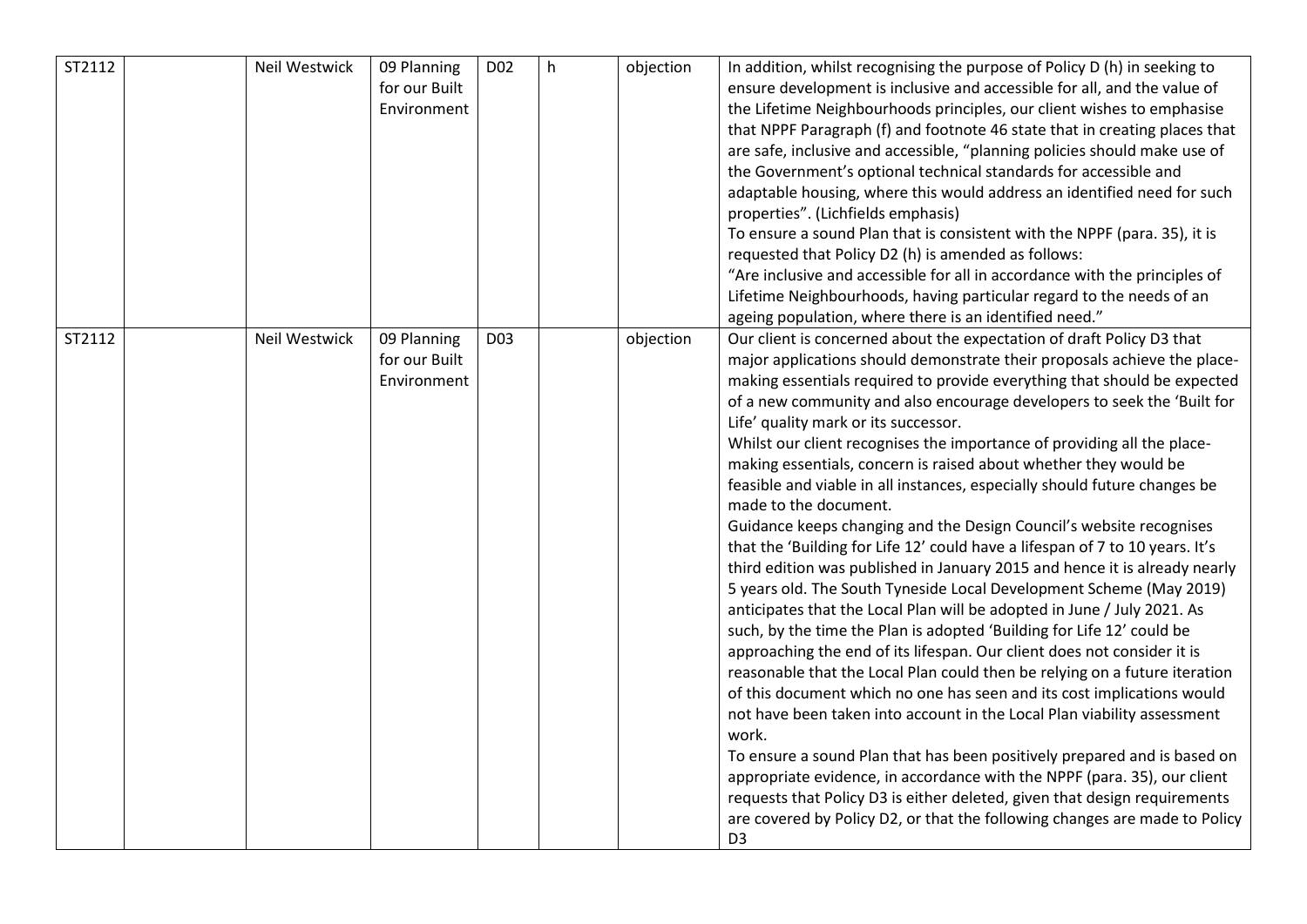| ST2112 | <b>Neil Westwick</b> | 09 Planning<br>for our Built<br>Environment | D <sub>02</sub> | h | objection | In addition, whilst recognising the purpose of Policy D (h) in seeking to<br>ensure development is inclusive and accessible for all, and the value of<br>the Lifetime Neighbourhoods principles, our client wishes to emphasise<br>that NPPF Paragraph (f) and footnote 46 state that in creating places that<br>are safe, inclusive and accessible, "planning policies should make use of<br>the Government's optional technical standards for accessible and<br>adaptable housing, where this would address an identified need for such<br>properties". (Lichfields emphasis)<br>To ensure a sound Plan that is consistent with the NPPF (para. 35), it is<br>requested that Policy D2 (h) is amended as follows:<br>"Are inclusive and accessible for all in accordance with the principles of<br>Lifetime Neighbourhoods, having particular regard to the needs of an<br>ageing population, where there is an identified need."                                                                                                                                                                                                                                                                                                                                                                                                                                                                                                                                                                                                                                                                                                                                                                                               |
|--------|----------------------|---------------------------------------------|-----------------|---|-----------|-----------------------------------------------------------------------------------------------------------------------------------------------------------------------------------------------------------------------------------------------------------------------------------------------------------------------------------------------------------------------------------------------------------------------------------------------------------------------------------------------------------------------------------------------------------------------------------------------------------------------------------------------------------------------------------------------------------------------------------------------------------------------------------------------------------------------------------------------------------------------------------------------------------------------------------------------------------------------------------------------------------------------------------------------------------------------------------------------------------------------------------------------------------------------------------------------------------------------------------------------------------------------------------------------------------------------------------------------------------------------------------------------------------------------------------------------------------------------------------------------------------------------------------------------------------------------------------------------------------------------------------------------------------------------------------------------------------------------------------|
| ST2112 | Neil Westwick        | 09 Planning<br>for our Built<br>Environment | D <sub>03</sub> |   | objection | Our client is concerned about the expectation of draft Policy D3 that<br>major applications should demonstrate their proposals achieve the place-<br>making essentials required to provide everything that should be expected<br>of a new community and also encourage developers to seek the 'Built for<br>Life' quality mark or its successor.<br>Whilst our client recognises the importance of providing all the place-<br>making essentials, concern is raised about whether they would be<br>feasible and viable in all instances, especially should future changes be<br>made to the document.<br>Guidance keeps changing and the Design Council's website recognises<br>that the 'Building for Life 12' could have a lifespan of 7 to 10 years. It's<br>third edition was published in January 2015 and hence it is already nearly<br>5 years old. The South Tyneside Local Development Scheme (May 2019)<br>anticipates that the Local Plan will be adopted in June / July 2021. As<br>such, by the time the Plan is adopted 'Building for Life 12' could be<br>approaching the end of its lifespan. Our client does not consider it is<br>reasonable that the Local Plan could then be relying on a future iteration<br>of this document which no one has seen and its cost implications would<br>not have been taken into account in the Local Plan viability assessment<br>work.<br>To ensure a sound Plan that has been positively prepared and is based on<br>appropriate evidence, in accordance with the NPPF (para. 35), our client<br>requests that Policy D3 is either deleted, given that design requirements<br>are covered by Policy D2, or that the following changes are made to Policy<br>D <sub>3</sub> |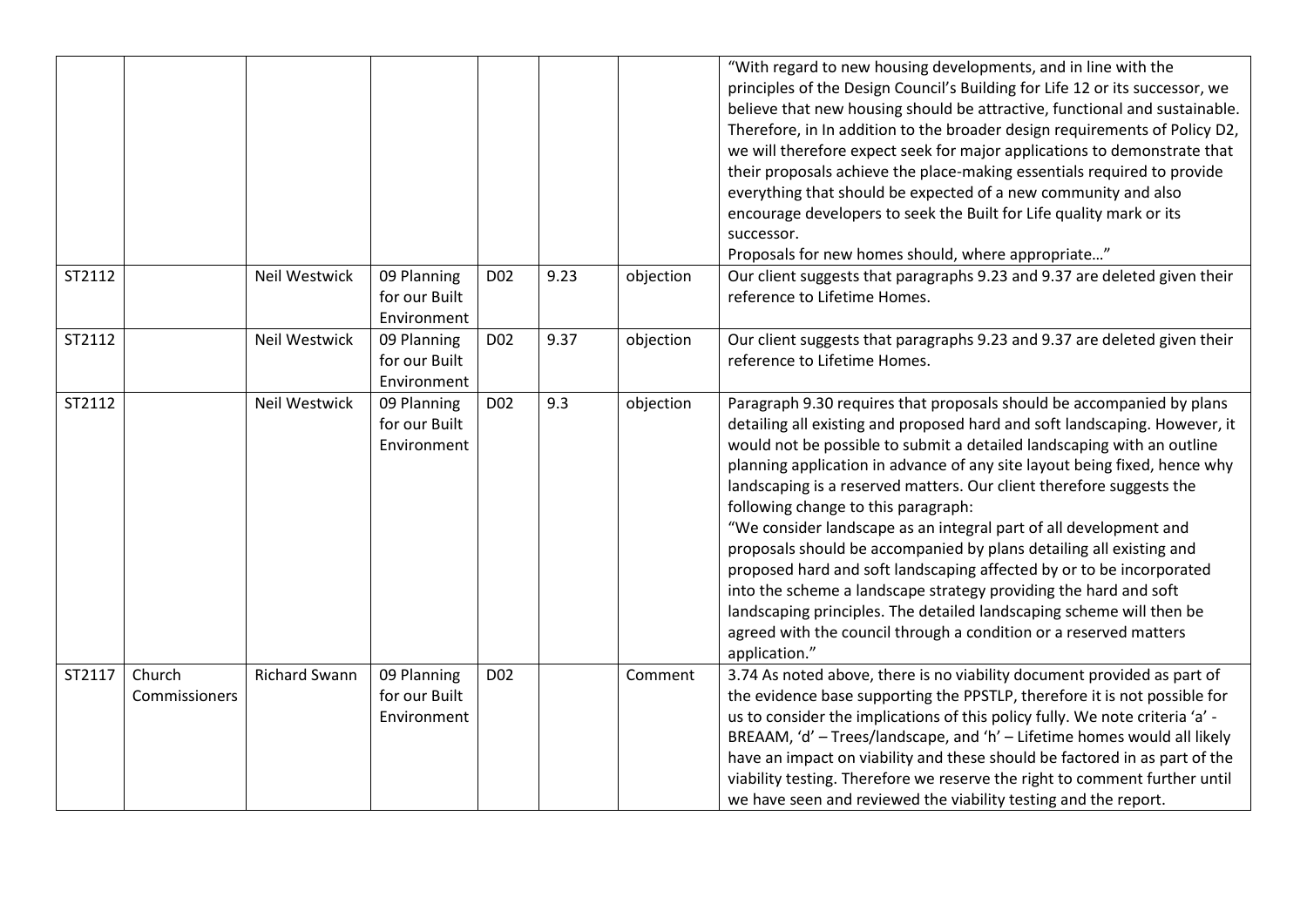|        |                         |                      |                                             |                 |      |           | "With regard to new housing developments, and in line with the<br>principles of the Design Council's Building for Life 12 or its successor, we<br>believe that new housing should be attractive, functional and sustainable.<br>Therefore, in In addition to the broader design requirements of Policy D2,<br>we will therefore expect seek for major applications to demonstrate that<br>their proposals achieve the place-making essentials required to provide<br>everything that should be expected of a new community and also<br>encourage developers to seek the Built for Life quality mark or its<br>successor.<br>Proposals for new homes should, where appropriate"                                                                                                                                                                                                  |
|--------|-------------------------|----------------------|---------------------------------------------|-----------------|------|-----------|---------------------------------------------------------------------------------------------------------------------------------------------------------------------------------------------------------------------------------------------------------------------------------------------------------------------------------------------------------------------------------------------------------------------------------------------------------------------------------------------------------------------------------------------------------------------------------------------------------------------------------------------------------------------------------------------------------------------------------------------------------------------------------------------------------------------------------------------------------------------------------|
| ST2112 |                         | Neil Westwick        | 09 Planning<br>for our Built<br>Environment | D <sub>02</sub> | 9.23 | objection | Our client suggests that paragraphs 9.23 and 9.37 are deleted given their<br>reference to Lifetime Homes.                                                                                                                                                                                                                                                                                                                                                                                                                                                                                                                                                                                                                                                                                                                                                                       |
| ST2112 |                         | <b>Neil Westwick</b> | 09 Planning<br>for our Built<br>Environment | D <sub>02</sub> | 9.37 | objection | Our client suggests that paragraphs 9.23 and 9.37 are deleted given their<br>reference to Lifetime Homes.                                                                                                                                                                                                                                                                                                                                                                                                                                                                                                                                                                                                                                                                                                                                                                       |
| ST2112 |                         | Neil Westwick        | 09 Planning<br>for our Built<br>Environment | D <sub>02</sub> | 9.3  | objection | Paragraph 9.30 requires that proposals should be accompanied by plans<br>detailing all existing and proposed hard and soft landscaping. However, it<br>would not be possible to submit a detailed landscaping with an outline<br>planning application in advance of any site layout being fixed, hence why<br>landscaping is a reserved matters. Our client therefore suggests the<br>following change to this paragraph:<br>"We consider landscape as an integral part of all development and<br>proposals should be accompanied by plans detailing all existing and<br>proposed hard and soft landscaping affected by or to be incorporated<br>into the scheme a landscape strategy providing the hard and soft<br>landscaping principles. The detailed landscaping scheme will then be<br>agreed with the council through a condition or a reserved matters<br>application." |
| ST2117 | Church<br>Commissioners | <b>Richard Swann</b> | 09 Planning<br>for our Built<br>Environment | D <sub>02</sub> |      | Comment   | 3.74 As noted above, there is no viability document provided as part of<br>the evidence base supporting the PPSTLP, therefore it is not possible for<br>us to consider the implications of this policy fully. We note criteria 'a' -<br>BREAAM, 'd' - Trees/landscape, and 'h' - Lifetime homes would all likely<br>have an impact on viability and these should be factored in as part of the<br>viability testing. Therefore we reserve the right to comment further until<br>we have seen and reviewed the viability testing and the report.                                                                                                                                                                                                                                                                                                                                 |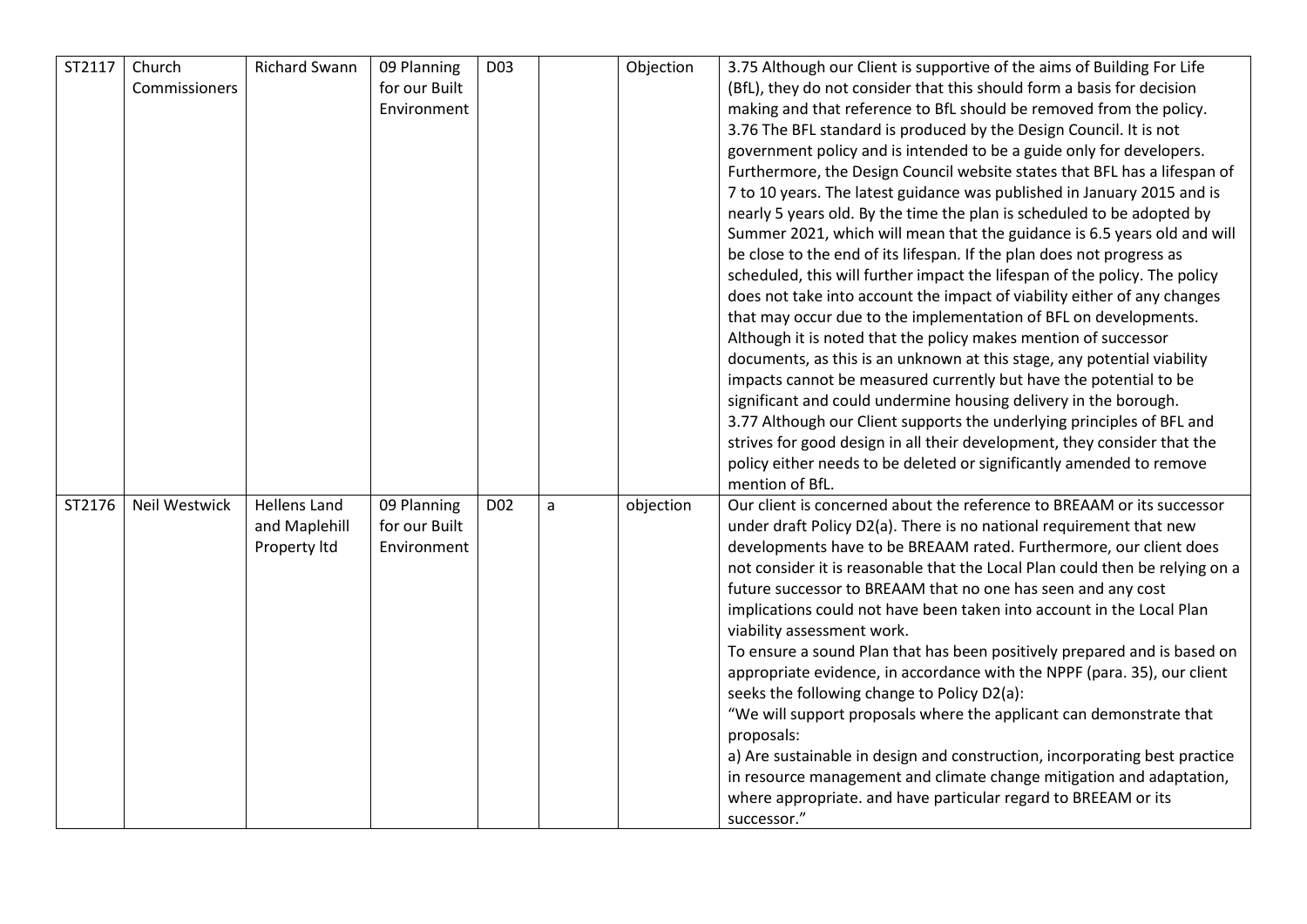| ST2117 | Church<br>Commissioners | <b>Richard Swann</b>          | 09 Planning<br>for our Built<br>Environment | D <sub>03</sub> |   | Objection | 3.75 Although our Client is supportive of the aims of Building For Life<br>(BfL), they do not consider that this should form a basis for decision<br>making and that reference to BfL should be removed from the policy.<br>3.76 The BFL standard is produced by the Design Council. It is not<br>government policy and is intended to be a guide only for developers.<br>Furthermore, the Design Council website states that BFL has a lifespan of<br>7 to 10 years. The latest guidance was published in January 2015 and is<br>nearly 5 years old. By the time the plan is scheduled to be adopted by<br>Summer 2021, which will mean that the guidance is 6.5 years old and will<br>be close to the end of its lifespan. If the plan does not progress as<br>scheduled, this will further impact the lifespan of the policy. The policy<br>does not take into account the impact of viability either of any changes<br>that may occur due to the implementation of BFL on developments.<br>Although it is noted that the policy makes mention of successor<br>documents, as this is an unknown at this stage, any potential viability<br>impacts cannot be measured currently but have the potential to be<br>significant and could undermine housing delivery in the borough. |
|--------|-------------------------|-------------------------------|---------------------------------------------|-----------------|---|-----------|------------------------------------------------------------------------------------------------------------------------------------------------------------------------------------------------------------------------------------------------------------------------------------------------------------------------------------------------------------------------------------------------------------------------------------------------------------------------------------------------------------------------------------------------------------------------------------------------------------------------------------------------------------------------------------------------------------------------------------------------------------------------------------------------------------------------------------------------------------------------------------------------------------------------------------------------------------------------------------------------------------------------------------------------------------------------------------------------------------------------------------------------------------------------------------------------------------------------------------------------------------------------------------|
| ST2176 | Neil Westwick           | <b>Hellens Land</b>           |                                             | D <sub>02</sub> |   |           | 3.77 Although our Client supports the underlying principles of BFL and<br>strives for good design in all their development, they consider that the<br>policy either needs to be deleted or significantly amended to remove<br>mention of BfL.<br>Our client is concerned about the reference to BREAAM or its successor                                                                                                                                                                                                                                                                                                                                                                                                                                                                                                                                                                                                                                                                                                                                                                                                                                                                                                                                                            |
|        |                         | and Maplehill<br>Property Itd | 09 Planning<br>for our Built<br>Environment |                 | a | objection | under draft Policy D2(a). There is no national requirement that new<br>developments have to be BREAAM rated. Furthermore, our client does<br>not consider it is reasonable that the Local Plan could then be relying on a<br>future successor to BREAAM that no one has seen and any cost<br>implications could not have been taken into account in the Local Plan<br>viability assessment work.<br>To ensure a sound Plan that has been positively prepared and is based on<br>appropriate evidence, in accordance with the NPPF (para. 35), our client<br>seeks the following change to Policy D2(a):<br>"We will support proposals where the applicant can demonstrate that<br>proposals:<br>a) Are sustainable in design and construction, incorporating best practice<br>in resource management and climate change mitigation and adaptation,<br>where appropriate. and have particular regard to BREEAM or its<br>successor."                                                                                                                                                                                                                                                                                                                                                |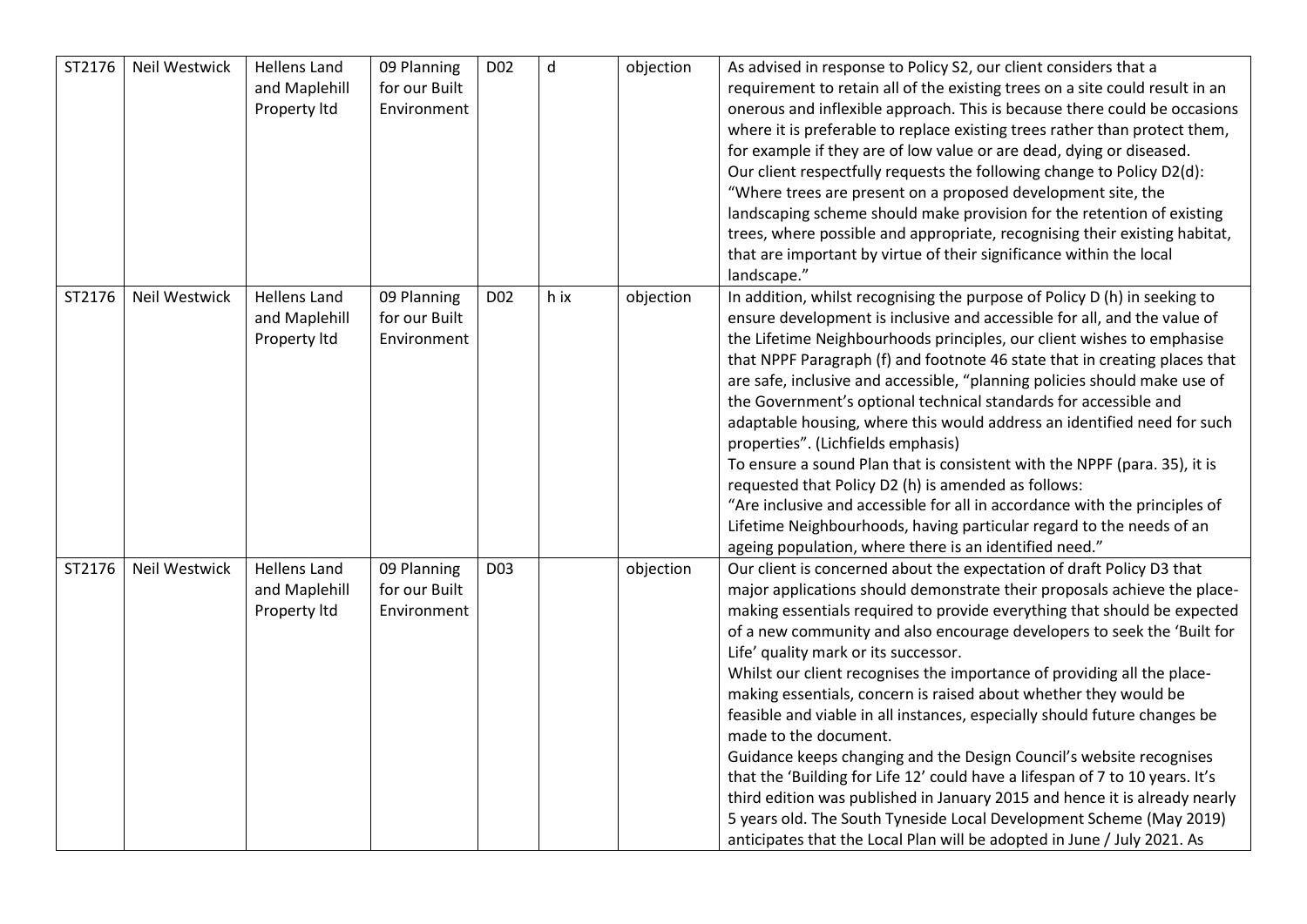| ST2176 | Neil Westwick | <b>Hellens Land</b><br>and Maplehill<br>Property Itd | 09 Planning<br>for our Built<br>Environment | D <sub>02</sub> | $\sf d$ | objection | As advised in response to Policy S2, our client considers that a<br>requirement to retain all of the existing trees on a site could result in an<br>onerous and inflexible approach. This is because there could be occasions<br>where it is preferable to replace existing trees rather than protect them,<br>for example if they are of low value or are dead, dying or diseased.<br>Our client respectfully requests the following change to Policy D2(d):<br>"Where trees are present on a proposed development site, the<br>landscaping scheme should make provision for the retention of existing<br>trees, where possible and appropriate, recognising their existing habitat,<br>that are important by virtue of their significance within the local<br>landscape."                                                                                                                                                                                                                  |
|--------|---------------|------------------------------------------------------|---------------------------------------------|-----------------|---------|-----------|----------------------------------------------------------------------------------------------------------------------------------------------------------------------------------------------------------------------------------------------------------------------------------------------------------------------------------------------------------------------------------------------------------------------------------------------------------------------------------------------------------------------------------------------------------------------------------------------------------------------------------------------------------------------------------------------------------------------------------------------------------------------------------------------------------------------------------------------------------------------------------------------------------------------------------------------------------------------------------------------|
| ST2176 | Neil Westwick | <b>Hellens Land</b><br>and Maplehill<br>Property Itd | 09 Planning<br>for our Built<br>Environment | D02             | h ix    | objection | In addition, whilst recognising the purpose of Policy D (h) in seeking to<br>ensure development is inclusive and accessible for all, and the value of<br>the Lifetime Neighbourhoods principles, our client wishes to emphasise<br>that NPPF Paragraph (f) and footnote 46 state that in creating places that<br>are safe, inclusive and accessible, "planning policies should make use of<br>the Government's optional technical standards for accessible and<br>adaptable housing, where this would address an identified need for such<br>properties". (Lichfields emphasis)<br>To ensure a sound Plan that is consistent with the NPPF (para. 35), it is<br>requested that Policy D2 (h) is amended as follows:<br>"Are inclusive and accessible for all in accordance with the principles of<br>Lifetime Neighbourhoods, having particular regard to the needs of an<br>ageing population, where there is an identified need."                                                          |
| ST2176 | Neil Westwick | <b>Hellens Land</b><br>and Maplehill<br>Property Itd | 09 Planning<br>for our Built<br>Environment | D <sub>03</sub> |         | objection | Our client is concerned about the expectation of draft Policy D3 that<br>major applications should demonstrate their proposals achieve the place-<br>making essentials required to provide everything that should be expected<br>of a new community and also encourage developers to seek the 'Built for<br>Life' quality mark or its successor.<br>Whilst our client recognises the importance of providing all the place-<br>making essentials, concern is raised about whether they would be<br>feasible and viable in all instances, especially should future changes be<br>made to the document.<br>Guidance keeps changing and the Design Council's website recognises<br>that the 'Building for Life 12' could have a lifespan of 7 to 10 years. It's<br>third edition was published in January 2015 and hence it is already nearly<br>5 years old. The South Tyneside Local Development Scheme (May 2019)<br>anticipates that the Local Plan will be adopted in June / July 2021. As |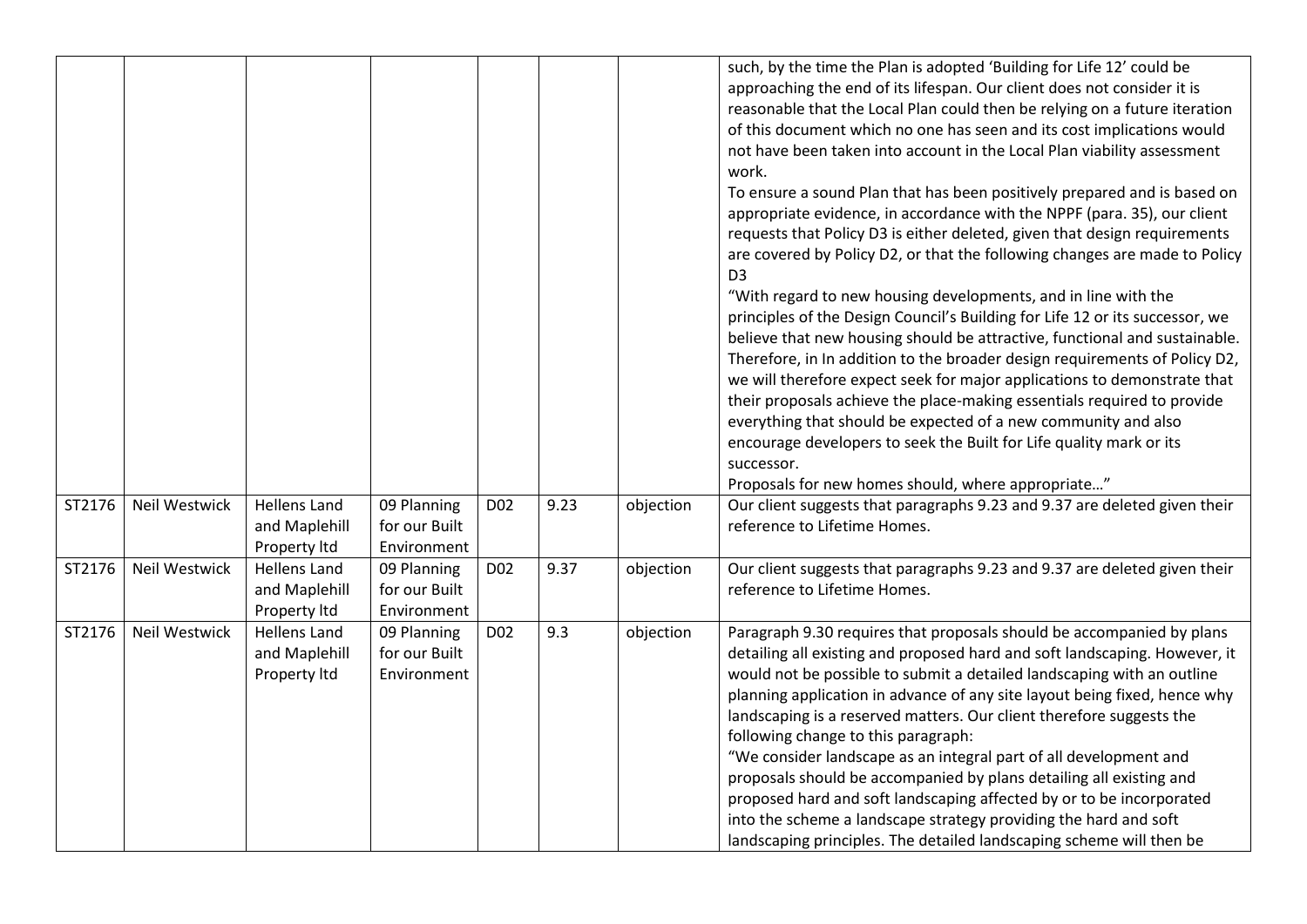|        |               |                                                      |                                             |                 |      |           | such, by the time the Plan is adopted 'Building for Life 12' could be<br>approaching the end of its lifespan. Our client does not consider it is<br>reasonable that the Local Plan could then be relying on a future iteration<br>of this document which no one has seen and its cost implications would<br>not have been taken into account in the Local Plan viability assessment<br>work.<br>To ensure a sound Plan that has been positively prepared and is based on<br>appropriate evidence, in accordance with the NPPF (para. 35), our client<br>requests that Policy D3 is either deleted, given that design requirements<br>are covered by Policy D2, or that the following changes are made to Policy<br>D <sub>3</sub><br>"With regard to new housing developments, and in line with the<br>principles of the Design Council's Building for Life 12 or its successor, we<br>believe that new housing should be attractive, functional and sustainable.<br>Therefore, in In addition to the broader design requirements of Policy D2,<br>we will therefore expect seek for major applications to demonstrate that<br>their proposals achieve the place-making essentials required to provide<br>everything that should be expected of a new community and also<br>encourage developers to seek the Built for Life quality mark or its<br>successor. |
|--------|---------------|------------------------------------------------------|---------------------------------------------|-----------------|------|-----------|---------------------------------------------------------------------------------------------------------------------------------------------------------------------------------------------------------------------------------------------------------------------------------------------------------------------------------------------------------------------------------------------------------------------------------------------------------------------------------------------------------------------------------------------------------------------------------------------------------------------------------------------------------------------------------------------------------------------------------------------------------------------------------------------------------------------------------------------------------------------------------------------------------------------------------------------------------------------------------------------------------------------------------------------------------------------------------------------------------------------------------------------------------------------------------------------------------------------------------------------------------------------------------------------------------------------------------------------------------------|
| ST2176 | Neil Westwick | <b>Hellens Land</b><br>and Maplehill<br>Property Itd | 09 Planning<br>for our Built<br>Environment | D <sub>02</sub> | 9.23 | objection | Proposals for new homes should, where appropriate"<br>Our client suggests that paragraphs 9.23 and 9.37 are deleted given their<br>reference to Lifetime Homes.                                                                                                                                                                                                                                                                                                                                                                                                                                                                                                                                                                                                                                                                                                                                                                                                                                                                                                                                                                                                                                                                                                                                                                                               |
| ST2176 | Neil Westwick | <b>Hellens Land</b><br>and Maplehill<br>Property Itd | 09 Planning<br>for our Built<br>Environment | D <sub>02</sub> | 9.37 | objection | Our client suggests that paragraphs 9.23 and 9.37 are deleted given their<br>reference to Lifetime Homes.                                                                                                                                                                                                                                                                                                                                                                                                                                                                                                                                                                                                                                                                                                                                                                                                                                                                                                                                                                                                                                                                                                                                                                                                                                                     |
| ST2176 | Neil Westwick | <b>Hellens Land</b><br>and Maplehill<br>Property Itd | 09 Planning<br>for our Built<br>Environment | D <sub>02</sub> | 9.3  | objection | Paragraph 9.30 requires that proposals should be accompanied by plans<br>detailing all existing and proposed hard and soft landscaping. However, it<br>would not be possible to submit a detailed landscaping with an outline<br>planning application in advance of any site layout being fixed, hence why<br>landscaping is a reserved matters. Our client therefore suggests the<br>following change to this paragraph:<br>"We consider landscape as an integral part of all development and<br>proposals should be accompanied by plans detailing all existing and<br>proposed hard and soft landscaping affected by or to be incorporated<br>into the scheme a landscape strategy providing the hard and soft<br>landscaping principles. The detailed landscaping scheme will then be                                                                                                                                                                                                                                                                                                                                                                                                                                                                                                                                                                     |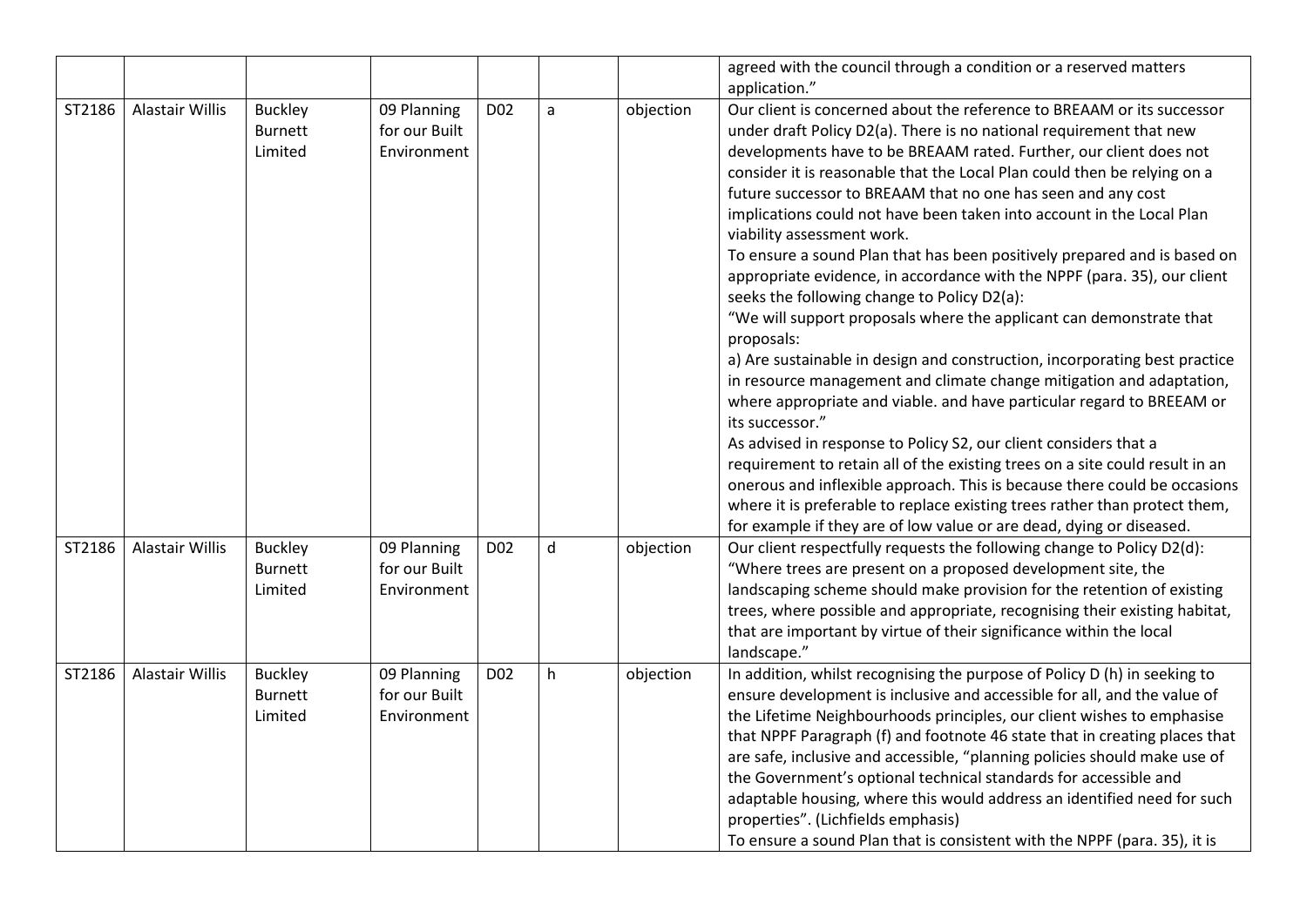|        |                 |                                             |                                             |                 |              |           | agreed with the council through a condition or a reserved matters<br>application."                                                                                                                                                                                                                                                                                                                                                                                                                                                                                                                                                                                                                                                                                                                                                                                                                                                                                                                                                                                                                                                                                                                                                                                                                                                                                                                          |
|--------|-----------------|---------------------------------------------|---------------------------------------------|-----------------|--------------|-----------|-------------------------------------------------------------------------------------------------------------------------------------------------------------------------------------------------------------------------------------------------------------------------------------------------------------------------------------------------------------------------------------------------------------------------------------------------------------------------------------------------------------------------------------------------------------------------------------------------------------------------------------------------------------------------------------------------------------------------------------------------------------------------------------------------------------------------------------------------------------------------------------------------------------------------------------------------------------------------------------------------------------------------------------------------------------------------------------------------------------------------------------------------------------------------------------------------------------------------------------------------------------------------------------------------------------------------------------------------------------------------------------------------------------|
| ST2186 | Alastair Willis | <b>Buckley</b><br><b>Burnett</b><br>Limited | 09 Planning<br>for our Built<br>Environment | D <sub>02</sub> | $\mathsf{a}$ | objection | Our client is concerned about the reference to BREAAM or its successor<br>under draft Policy D2(a). There is no national requirement that new<br>developments have to be BREAAM rated. Further, our client does not<br>consider it is reasonable that the Local Plan could then be relying on a<br>future successor to BREAAM that no one has seen and any cost<br>implications could not have been taken into account in the Local Plan<br>viability assessment work.<br>To ensure a sound Plan that has been positively prepared and is based on<br>appropriate evidence, in accordance with the NPPF (para. 35), our client<br>seeks the following change to Policy D2(a):<br>"We will support proposals where the applicant can demonstrate that<br>proposals:<br>a) Are sustainable in design and construction, incorporating best practice<br>in resource management and climate change mitigation and adaptation,<br>where appropriate and viable. and have particular regard to BREEAM or<br>its successor."<br>As advised in response to Policy S2, our client considers that a<br>requirement to retain all of the existing trees on a site could result in an<br>onerous and inflexible approach. This is because there could be occasions<br>where it is preferable to replace existing trees rather than protect them,<br>for example if they are of low value or are dead, dying or diseased. |
| ST2186 | Alastair Willis | <b>Buckley</b><br><b>Burnett</b><br>Limited | 09 Planning<br>for our Built<br>Environment | D <sub>02</sub> | d            | objection | Our client respectfully requests the following change to Policy D2(d):<br>"Where trees are present on a proposed development site, the<br>landscaping scheme should make provision for the retention of existing<br>trees, where possible and appropriate, recognising their existing habitat,<br>that are important by virtue of their significance within the local<br>landscape."                                                                                                                                                                                                                                                                                                                                                                                                                                                                                                                                                                                                                                                                                                                                                                                                                                                                                                                                                                                                                        |
| ST2186 | Alastair Willis | <b>Buckley</b><br><b>Burnett</b><br>Limited | 09 Planning<br>for our Built<br>Environment | D <sub>02</sub> | h            | objection | In addition, whilst recognising the purpose of Policy D (h) in seeking to<br>ensure development is inclusive and accessible for all, and the value of<br>the Lifetime Neighbourhoods principles, our client wishes to emphasise<br>that NPPF Paragraph (f) and footnote 46 state that in creating places that<br>are safe, inclusive and accessible, "planning policies should make use of<br>the Government's optional technical standards for accessible and<br>adaptable housing, where this would address an identified need for such<br>properties". (Lichfields emphasis)<br>To ensure a sound Plan that is consistent with the NPPF (para. 35), it is                                                                                                                                                                                                                                                                                                                                                                                                                                                                                                                                                                                                                                                                                                                                                |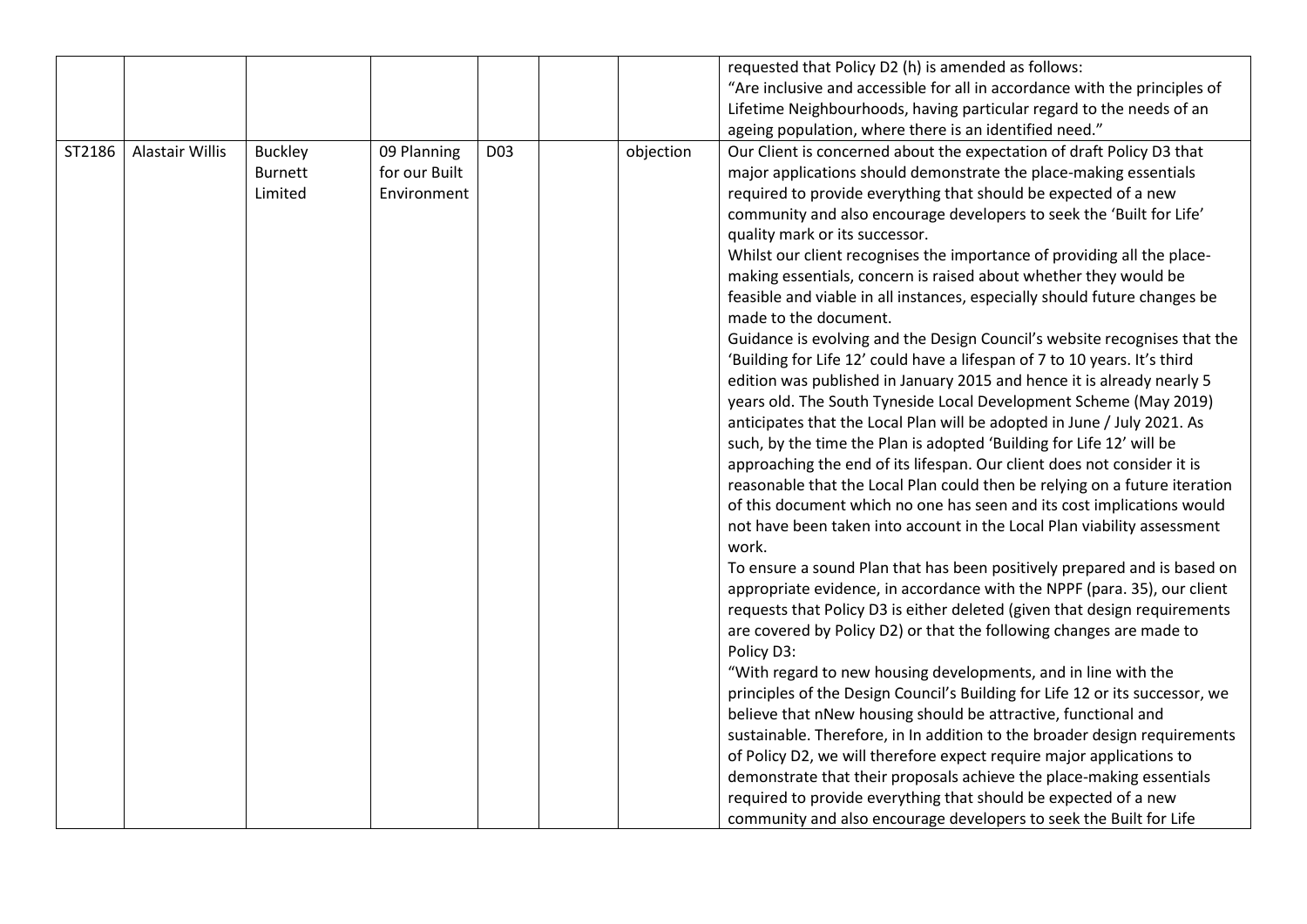|        |                        |                |               |                 |           | requested that Policy D2 (h) is amended as follows:                          |
|--------|------------------------|----------------|---------------|-----------------|-----------|------------------------------------------------------------------------------|
|        |                        |                |               |                 |           | "Are inclusive and accessible for all in accordance with the principles of   |
|        |                        |                |               |                 |           | Lifetime Neighbourhoods, having particular regard to the needs of an         |
|        |                        |                |               |                 |           | ageing population, where there is an identified need."                       |
| ST2186 | <b>Alastair Willis</b> | <b>Buckley</b> | 09 Planning   | D <sub>03</sub> | objection | Our Client is concerned about the expectation of draft Policy D3 that        |
|        |                        | <b>Burnett</b> | for our Built |                 |           | major applications should demonstrate the place-making essentials            |
|        |                        | Limited        | Environment   |                 |           | required to provide everything that should be expected of a new              |
|        |                        |                |               |                 |           | community and also encourage developers to seek the 'Built for Life'         |
|        |                        |                |               |                 |           | quality mark or its successor.                                               |
|        |                        |                |               |                 |           | Whilst our client recognises the importance of providing all the place-      |
|        |                        |                |               |                 |           | making essentials, concern is raised about whether they would be             |
|        |                        |                |               |                 |           | feasible and viable in all instances, especially should future changes be    |
|        |                        |                |               |                 |           | made to the document.                                                        |
|        |                        |                |               |                 |           | Guidance is evolving and the Design Council's website recognises that the    |
|        |                        |                |               |                 |           | 'Building for Life 12' could have a lifespan of 7 to 10 years. It's third    |
|        |                        |                |               |                 |           | edition was published in January 2015 and hence it is already nearly 5       |
|        |                        |                |               |                 |           | years old. The South Tyneside Local Development Scheme (May 2019)            |
|        |                        |                |               |                 |           | anticipates that the Local Plan will be adopted in June / July 2021. As      |
|        |                        |                |               |                 |           | such, by the time the Plan is adopted 'Building for Life 12' will be         |
|        |                        |                |               |                 |           | approaching the end of its lifespan. Our client does not consider it is      |
|        |                        |                |               |                 |           | reasonable that the Local Plan could then be relying on a future iteration   |
|        |                        |                |               |                 |           | of this document which no one has seen and its cost implications would       |
|        |                        |                |               |                 |           | not have been taken into account in the Local Plan viability assessment      |
|        |                        |                |               |                 |           | work.                                                                        |
|        |                        |                |               |                 |           | To ensure a sound Plan that has been positively prepared and is based on     |
|        |                        |                |               |                 |           | appropriate evidence, in accordance with the NPPF (para. 35), our client     |
|        |                        |                |               |                 |           | requests that Policy D3 is either deleted (given that design requirements    |
|        |                        |                |               |                 |           | are covered by Policy D2) or that the following changes are made to          |
|        |                        |                |               |                 |           | Policy D3:                                                                   |
|        |                        |                |               |                 |           | "With regard to new housing developments, and in line with the               |
|        |                        |                |               |                 |           | principles of the Design Council's Building for Life 12 or its successor, we |
|        |                        |                |               |                 |           | believe that nNew housing should be attractive, functional and               |
|        |                        |                |               |                 |           | sustainable. Therefore, in In addition to the broader design requirements    |
|        |                        |                |               |                 |           | of Policy D2, we will therefore expect require major applications to         |
|        |                        |                |               |                 |           | demonstrate that their proposals achieve the place-making essentials         |
|        |                        |                |               |                 |           | required to provide everything that should be expected of a new              |
|        |                        |                |               |                 |           | community and also encourage developers to seek the Built for Life           |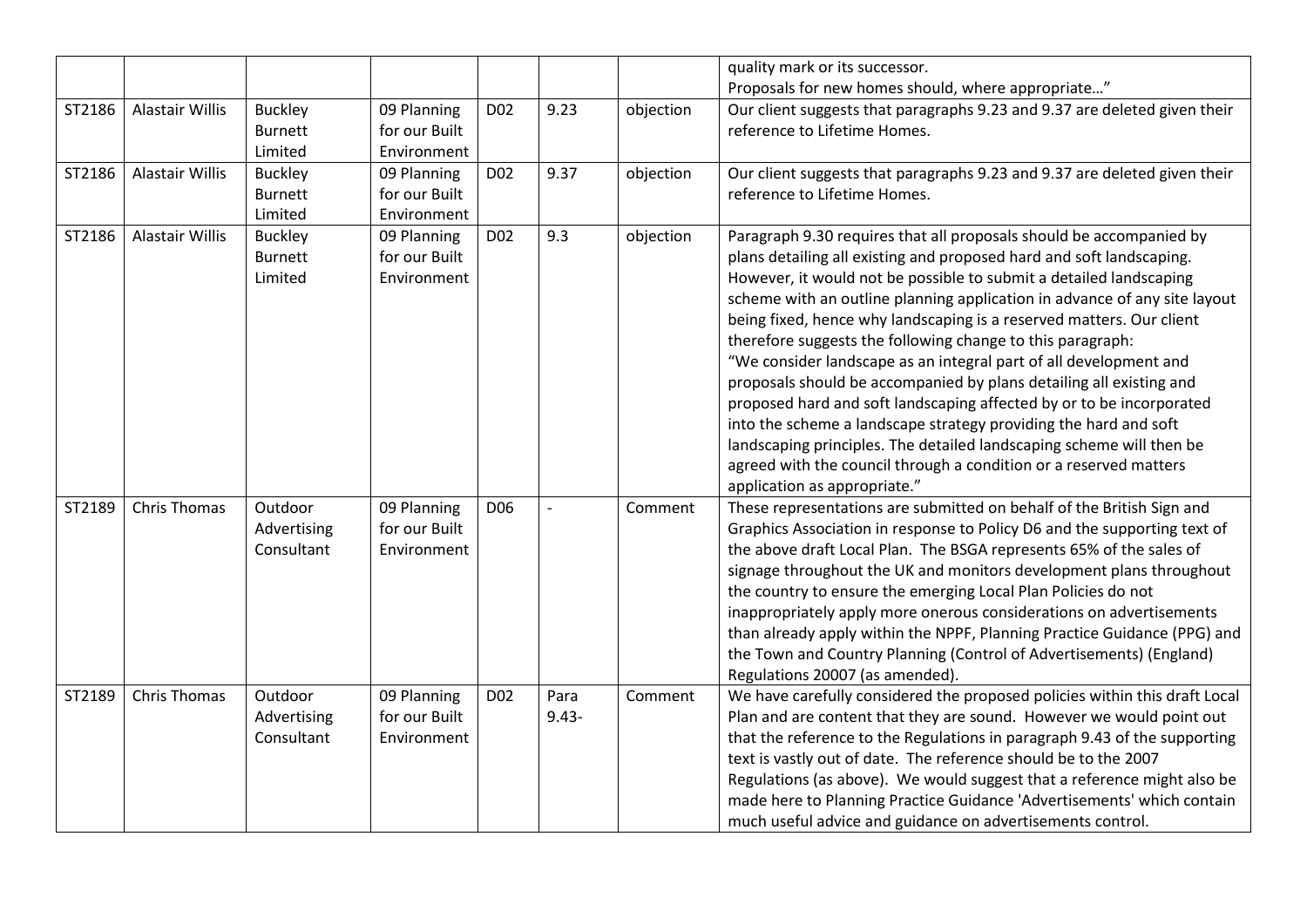|        |                        |                                             |                                             |                 |                  |           | quality mark or its successor.                                                                                                                                                                                                                                                                                                                                                                                                                                                                                                                                                                                                                                                                                                                                                                                                                                                                            |
|--------|------------------------|---------------------------------------------|---------------------------------------------|-----------------|------------------|-----------|-----------------------------------------------------------------------------------------------------------------------------------------------------------------------------------------------------------------------------------------------------------------------------------------------------------------------------------------------------------------------------------------------------------------------------------------------------------------------------------------------------------------------------------------------------------------------------------------------------------------------------------------------------------------------------------------------------------------------------------------------------------------------------------------------------------------------------------------------------------------------------------------------------------|
|        |                        |                                             |                                             |                 |                  |           | Proposals for new homes should, where appropriate"                                                                                                                                                                                                                                                                                                                                                                                                                                                                                                                                                                                                                                                                                                                                                                                                                                                        |
| ST2186 | Alastair Willis        | <b>Buckley</b><br><b>Burnett</b><br>Limited | 09 Planning<br>for our Built<br>Environment | D <sub>02</sub> | 9.23             | objection | Our client suggests that paragraphs 9.23 and 9.37 are deleted given their<br>reference to Lifetime Homes.                                                                                                                                                                                                                                                                                                                                                                                                                                                                                                                                                                                                                                                                                                                                                                                                 |
| ST2186 | <b>Alastair Willis</b> | <b>Buckley</b><br><b>Burnett</b><br>Limited | 09 Planning<br>for our Built<br>Environment | D <sub>02</sub> | 9.37             | objection | Our client suggests that paragraphs 9.23 and 9.37 are deleted given their<br>reference to Lifetime Homes.                                                                                                                                                                                                                                                                                                                                                                                                                                                                                                                                                                                                                                                                                                                                                                                                 |
| ST2186 | <b>Alastair Willis</b> | <b>Buckley</b><br><b>Burnett</b><br>Limited | 09 Planning<br>for our Built<br>Environment | D <sub>02</sub> | 9.3              | objection | Paragraph 9.30 requires that all proposals should be accompanied by<br>plans detailing all existing and proposed hard and soft landscaping.<br>However, it would not be possible to submit a detailed landscaping<br>scheme with an outline planning application in advance of any site layout<br>being fixed, hence why landscaping is a reserved matters. Our client<br>therefore suggests the following change to this paragraph:<br>"We consider landscape as an integral part of all development and<br>proposals should be accompanied by plans detailing all existing and<br>proposed hard and soft landscaping affected by or to be incorporated<br>into the scheme a landscape strategy providing the hard and soft<br>landscaping principles. The detailed landscaping scheme will then be<br>agreed with the council through a condition or a reserved matters<br>application as appropriate." |
| ST2189 | <b>Chris Thomas</b>    | Outdoor<br>Advertising<br>Consultant        | 09 Planning<br>for our Built<br>Environment | D <sub>06</sub> |                  | Comment   | These representations are submitted on behalf of the British Sign and<br>Graphics Association in response to Policy D6 and the supporting text of<br>the above draft Local Plan. The BSGA represents 65% of the sales of<br>signage throughout the UK and monitors development plans throughout<br>the country to ensure the emerging Local Plan Policies do not<br>inappropriately apply more onerous considerations on advertisements<br>than already apply within the NPPF, Planning Practice Guidance (PPG) and<br>the Town and Country Planning (Control of Advertisements) (England)<br>Regulations 20007 (as amended).                                                                                                                                                                                                                                                                             |
| ST2189 | <b>Chris Thomas</b>    | Outdoor<br>Advertising<br>Consultant        | 09 Planning<br>for our Built<br>Environment | D <sub>02</sub> | Para<br>$9.43 -$ | Comment   | We have carefully considered the proposed policies within this draft Local<br>Plan and are content that they are sound. However we would point out<br>that the reference to the Regulations in paragraph 9.43 of the supporting<br>text is vastly out of date. The reference should be to the 2007<br>Regulations (as above). We would suggest that a reference might also be<br>made here to Planning Practice Guidance 'Advertisements' which contain<br>much useful advice and guidance on advertisements control.                                                                                                                                                                                                                                                                                                                                                                                     |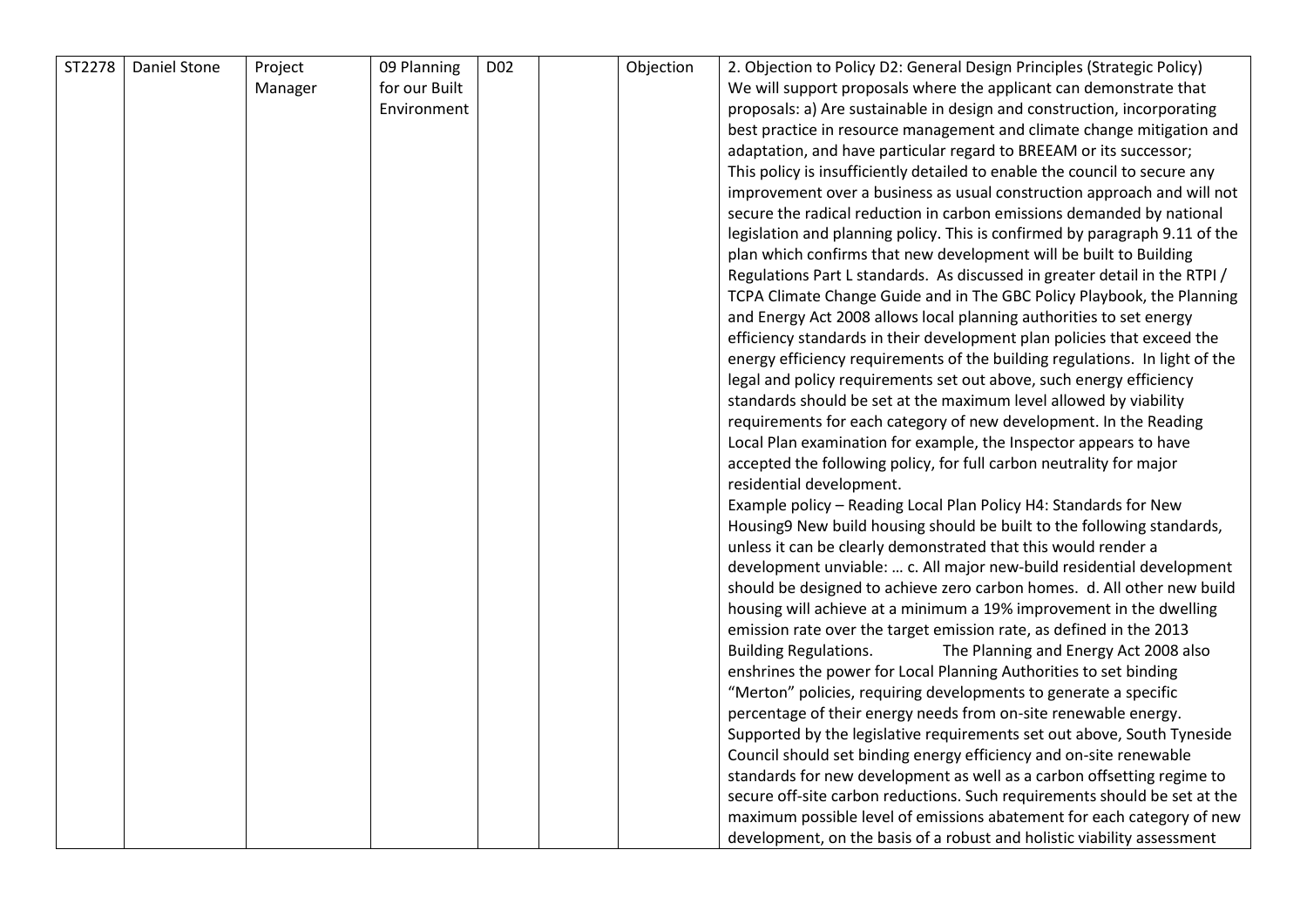| ST2278 | Daniel Stone | Project | 09 Planning   | D <sub>02</sub> | Objection | 2. Objection to Policy D2: General Design Principles (Strategic Policy)                                                                              |
|--------|--------------|---------|---------------|-----------------|-----------|------------------------------------------------------------------------------------------------------------------------------------------------------|
|        |              | Manager | for our Built |                 |           | We will support proposals where the applicant can demonstrate that                                                                                   |
|        |              |         | Environment   |                 |           | proposals: a) Are sustainable in design and construction, incorporating                                                                              |
|        |              |         |               |                 |           | best practice in resource management and climate change mitigation and                                                                               |
|        |              |         |               |                 |           | adaptation, and have particular regard to BREEAM or its successor;                                                                                   |
|        |              |         |               |                 |           | This policy is insufficiently detailed to enable the council to secure any                                                                           |
|        |              |         |               |                 |           | improvement over a business as usual construction approach and will not                                                                              |
|        |              |         |               |                 |           | secure the radical reduction in carbon emissions demanded by national                                                                                |
|        |              |         |               |                 |           | legislation and planning policy. This is confirmed by paragraph 9.11 of the                                                                          |
|        |              |         |               |                 |           | plan which confirms that new development will be built to Building                                                                                   |
|        |              |         |               |                 |           |                                                                                                                                                      |
|        |              |         |               |                 |           | Regulations Part L standards. As discussed in greater detail in the RTPI /<br>TCPA Climate Change Guide and in The GBC Policy Playbook, the Planning |
|        |              |         |               |                 |           |                                                                                                                                                      |
|        |              |         |               |                 |           | and Energy Act 2008 allows local planning authorities to set energy                                                                                  |
|        |              |         |               |                 |           | efficiency standards in their development plan policies that exceed the                                                                              |
|        |              |         |               |                 |           | energy efficiency requirements of the building regulations. In light of the<br>legal and policy requirements set out above, such energy efficiency   |
|        |              |         |               |                 |           |                                                                                                                                                      |
|        |              |         |               |                 |           | standards should be set at the maximum level allowed by viability                                                                                    |
|        |              |         |               |                 |           | requirements for each category of new development. In the Reading                                                                                    |
|        |              |         |               |                 |           | Local Plan examination for example, the Inspector appears to have                                                                                    |
|        |              |         |               |                 |           | accepted the following policy, for full carbon neutrality for major                                                                                  |
|        |              |         |               |                 |           | residential development.                                                                                                                             |
|        |              |         |               |                 |           | Example policy - Reading Local Plan Policy H4: Standards for New                                                                                     |
|        |              |         |               |                 |           | Housing9 New build housing should be built to the following standards,                                                                               |
|        |              |         |               |                 |           | unless it can be clearly demonstrated that this would render a                                                                                       |
|        |              |         |               |                 |           | development unviable:  c. All major new-build residential development                                                                                |
|        |              |         |               |                 |           | should be designed to achieve zero carbon homes. d. All other new build                                                                              |
|        |              |         |               |                 |           | housing will achieve at a minimum a 19% improvement in the dwelling                                                                                  |
|        |              |         |               |                 |           | emission rate over the target emission rate, as defined in the 2013                                                                                  |
|        |              |         |               |                 |           | <b>Building Regulations.</b><br>The Planning and Energy Act 2008 also                                                                                |
|        |              |         |               |                 |           | enshrines the power for Local Planning Authorities to set binding                                                                                    |
|        |              |         |               |                 |           | "Merton" policies, requiring developments to generate a specific                                                                                     |
|        |              |         |               |                 |           | percentage of their energy needs from on-site renewable energy.                                                                                      |
|        |              |         |               |                 |           | Supported by the legislative requirements set out above, South Tyneside                                                                              |
|        |              |         |               |                 |           | Council should set binding energy efficiency and on-site renewable                                                                                   |
|        |              |         |               |                 |           | standards for new development as well as a carbon offsetting regime to                                                                               |
|        |              |         |               |                 |           | secure off-site carbon reductions. Such requirements should be set at the                                                                            |
|        |              |         |               |                 |           | maximum possible level of emissions abatement for each category of new                                                                               |
|        |              |         |               |                 |           | development, on the basis of a robust and holistic viability assessment                                                                              |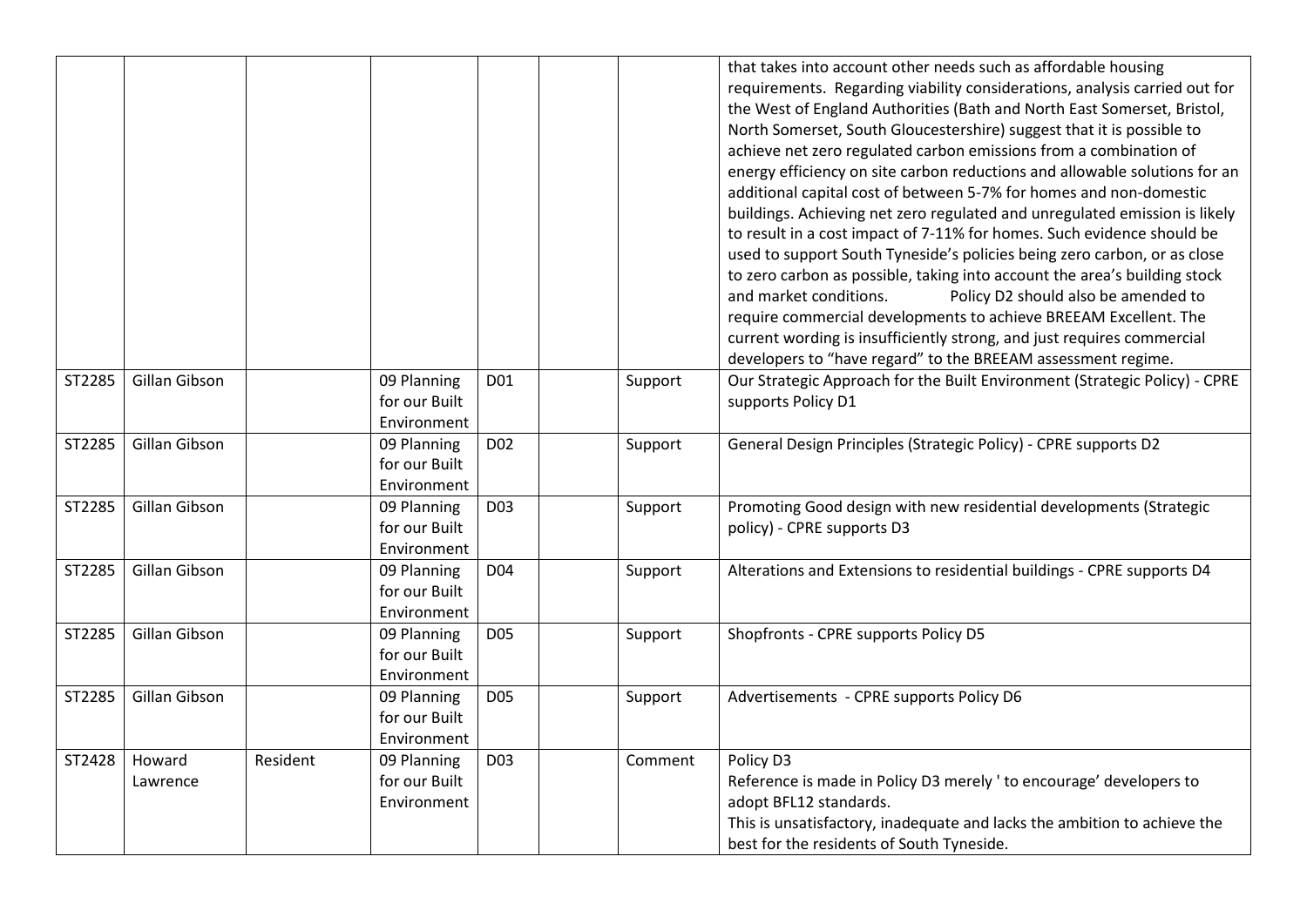|        |                    |          |                                             |                 |         | that takes into account other needs such as affordable housing<br>requirements. Regarding viability considerations, analysis carried out for<br>the West of England Authorities (Bath and North East Somerset, Bristol,<br>North Somerset, South Gloucestershire) suggest that it is possible to<br>achieve net zero regulated carbon emissions from a combination of<br>energy efficiency on site carbon reductions and allowable solutions for an<br>additional capital cost of between 5-7% for homes and non-domestic<br>buildings. Achieving net zero regulated and unregulated emission is likely<br>to result in a cost impact of 7-11% for homes. Such evidence should be<br>used to support South Tyneside's policies being zero carbon, or as close<br>to zero carbon as possible, taking into account the area's building stock<br>and market conditions.<br>Policy D2 should also be amended to<br>require commercial developments to achieve BREEAM Excellent. The<br>current wording is insufficiently strong, and just requires commercial<br>developers to "have regard" to the BREEAM assessment regime. |
|--------|--------------------|----------|---------------------------------------------|-----------------|---------|---------------------------------------------------------------------------------------------------------------------------------------------------------------------------------------------------------------------------------------------------------------------------------------------------------------------------------------------------------------------------------------------------------------------------------------------------------------------------------------------------------------------------------------------------------------------------------------------------------------------------------------------------------------------------------------------------------------------------------------------------------------------------------------------------------------------------------------------------------------------------------------------------------------------------------------------------------------------------------------------------------------------------------------------------------------------------------------------------------------------------|
| ST2285 | Gillan Gibson      |          | 09 Planning<br>for our Built<br>Environment | D01             | Support | Our Strategic Approach for the Built Environment (Strategic Policy) - CPRE<br>supports Policy D1                                                                                                                                                                                                                                                                                                                                                                                                                                                                                                                                                                                                                                                                                                                                                                                                                                                                                                                                                                                                                          |
| ST2285 | Gillan Gibson      |          | 09 Planning<br>for our Built<br>Environment | D <sub>02</sub> | Support | General Design Principles (Strategic Policy) - CPRE supports D2                                                                                                                                                                                                                                                                                                                                                                                                                                                                                                                                                                                                                                                                                                                                                                                                                                                                                                                                                                                                                                                           |
| ST2285 | Gillan Gibson      |          | 09 Planning<br>for our Built<br>Environment | D <sub>03</sub> | Support | Promoting Good design with new residential developments (Strategic<br>policy) - CPRE supports D3                                                                                                                                                                                                                                                                                                                                                                                                                                                                                                                                                                                                                                                                                                                                                                                                                                                                                                                                                                                                                          |
| ST2285 | Gillan Gibson      |          | 09 Planning<br>for our Built<br>Environment | D04             | Support | Alterations and Extensions to residential buildings - CPRE supports D4                                                                                                                                                                                                                                                                                                                                                                                                                                                                                                                                                                                                                                                                                                                                                                                                                                                                                                                                                                                                                                                    |
| ST2285 | Gillan Gibson      |          | 09 Planning<br>for our Built<br>Environment | D <sub>05</sub> | Support | Shopfronts - CPRE supports Policy D5                                                                                                                                                                                                                                                                                                                                                                                                                                                                                                                                                                                                                                                                                                                                                                                                                                                                                                                                                                                                                                                                                      |
| ST2285 | Gillan Gibson      |          | 09 Planning<br>for our Built<br>Environment | <b>D05</b>      | Support | Advertisements - CPRE supports Policy D6                                                                                                                                                                                                                                                                                                                                                                                                                                                                                                                                                                                                                                                                                                                                                                                                                                                                                                                                                                                                                                                                                  |
| ST2428 | Howard<br>Lawrence | Resident | 09 Planning<br>for our Built<br>Environment | D <sub>03</sub> | Comment | Policy D3<br>Reference is made in Policy D3 merely ' to encourage' developers to<br>adopt BFL12 standards.<br>This is unsatisfactory, inadequate and lacks the ambition to achieve the<br>best for the residents of South Tyneside.                                                                                                                                                                                                                                                                                                                                                                                                                                                                                                                                                                                                                                                                                                                                                                                                                                                                                       |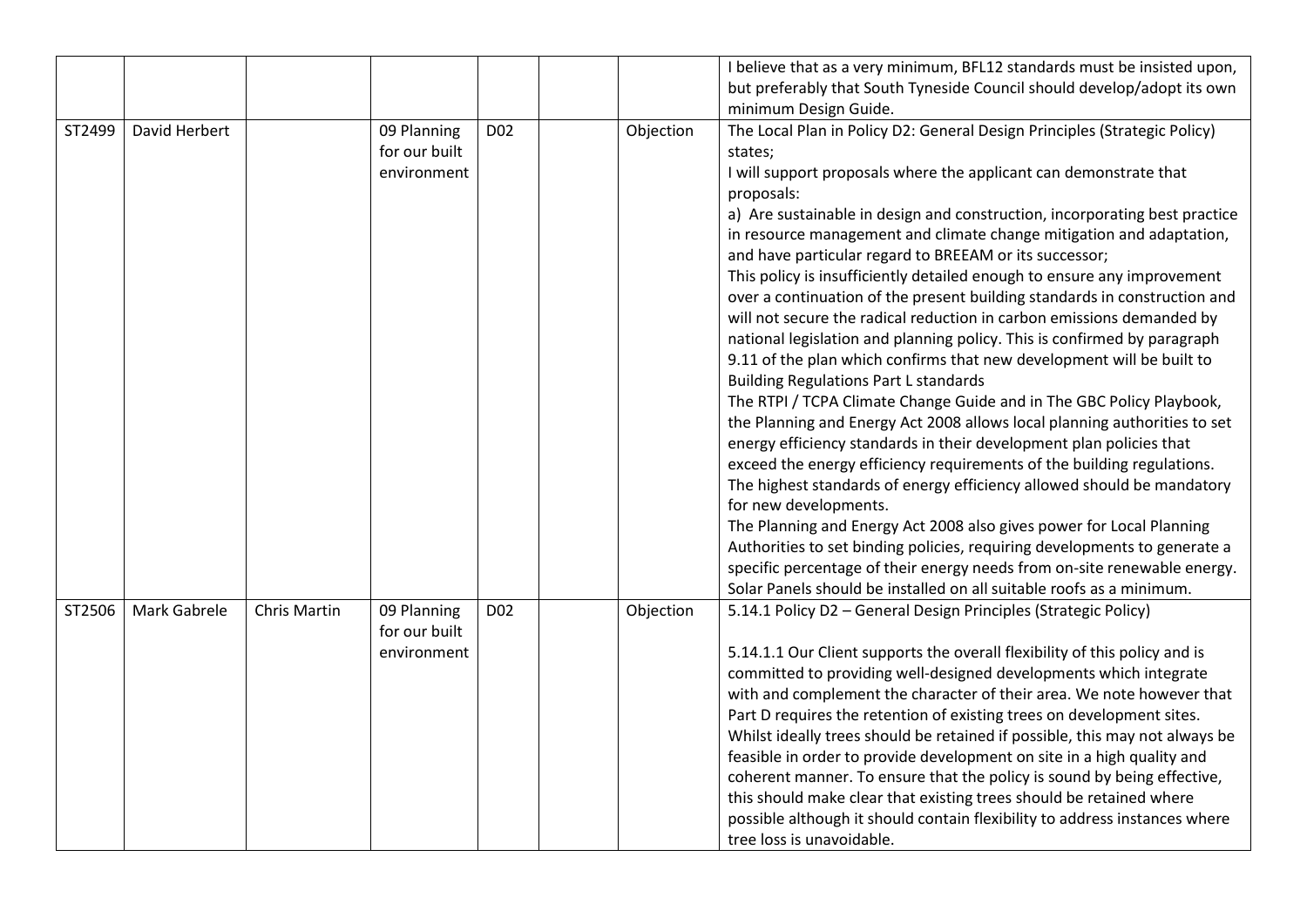|        |               |                     |               |                 |           | I believe that as a very minimum, BFL12 standards must be insisted upon,    |
|--------|---------------|---------------------|---------------|-----------------|-----------|-----------------------------------------------------------------------------|
|        |               |                     |               |                 |           | but preferably that South Tyneside Council should develop/adopt its own     |
|        |               |                     |               |                 |           | minimum Design Guide.                                                       |
| ST2499 | David Herbert |                     | 09 Planning   | D <sub>02</sub> | Objection | The Local Plan in Policy D2: General Design Principles (Strategic Policy)   |
|        |               |                     | for our built |                 |           | states;                                                                     |
|        |               |                     | environment   |                 |           | I will support proposals where the applicant can demonstrate that           |
|        |               |                     |               |                 |           | proposals:                                                                  |
|        |               |                     |               |                 |           | a) Are sustainable in design and construction, incorporating best practice  |
|        |               |                     |               |                 |           | in resource management and climate change mitigation and adaptation,        |
|        |               |                     |               |                 |           | and have particular regard to BREEAM or its successor;                      |
|        |               |                     |               |                 |           | This policy is insufficiently detailed enough to ensure any improvement     |
|        |               |                     |               |                 |           | over a continuation of the present building standards in construction and   |
|        |               |                     |               |                 |           | will not secure the radical reduction in carbon emissions demanded by       |
|        |               |                     |               |                 |           | national legislation and planning policy. This is confirmed by paragraph    |
|        |               |                     |               |                 |           | 9.11 of the plan which confirms that new development will be built to       |
|        |               |                     |               |                 |           | <b>Building Regulations Part L standards</b>                                |
|        |               |                     |               |                 |           | The RTPI / TCPA Climate Change Guide and in The GBC Policy Playbook,        |
|        |               |                     |               |                 |           | the Planning and Energy Act 2008 allows local planning authorities to set   |
|        |               |                     |               |                 |           | energy efficiency standards in their development plan policies that         |
|        |               |                     |               |                 |           | exceed the energy efficiency requirements of the building regulations.      |
|        |               |                     |               |                 |           | The highest standards of energy efficiency allowed should be mandatory      |
|        |               |                     |               |                 |           | for new developments.                                                       |
|        |               |                     |               |                 |           | The Planning and Energy Act 2008 also gives power for Local Planning        |
|        |               |                     |               |                 |           | Authorities to set binding policies, requiring developments to generate a   |
|        |               |                     |               |                 |           | specific percentage of their energy needs from on-site renewable energy.    |
|        |               |                     |               |                 |           | Solar Panels should be installed on all suitable roofs as a minimum.        |
| ST2506 | Mark Gabrele  | <b>Chris Martin</b> | 09 Planning   | D <sub>02</sub> | Objection | 5.14.1 Policy D2 - General Design Principles (Strategic Policy)             |
|        |               |                     | for our built |                 |           |                                                                             |
|        |               |                     | environment   |                 |           | 5.14.1.1 Our Client supports the overall flexibility of this policy and is  |
|        |               |                     |               |                 |           | committed to providing well-designed developments which integrate           |
|        |               |                     |               |                 |           | with and complement the character of their area. We note however that       |
|        |               |                     |               |                 |           | Part D requires the retention of existing trees on development sites.       |
|        |               |                     |               |                 |           | Whilst ideally trees should be retained if possible, this may not always be |
|        |               |                     |               |                 |           | feasible in order to provide development on site in a high quality and      |
|        |               |                     |               |                 |           | coherent manner. To ensure that the policy is sound by being effective,     |
|        |               |                     |               |                 |           | this should make clear that existing trees should be retained where         |
|        |               |                     |               |                 |           | possible although it should contain flexibility to address instances where  |
|        |               |                     |               |                 |           | tree loss is unavoidable.                                                   |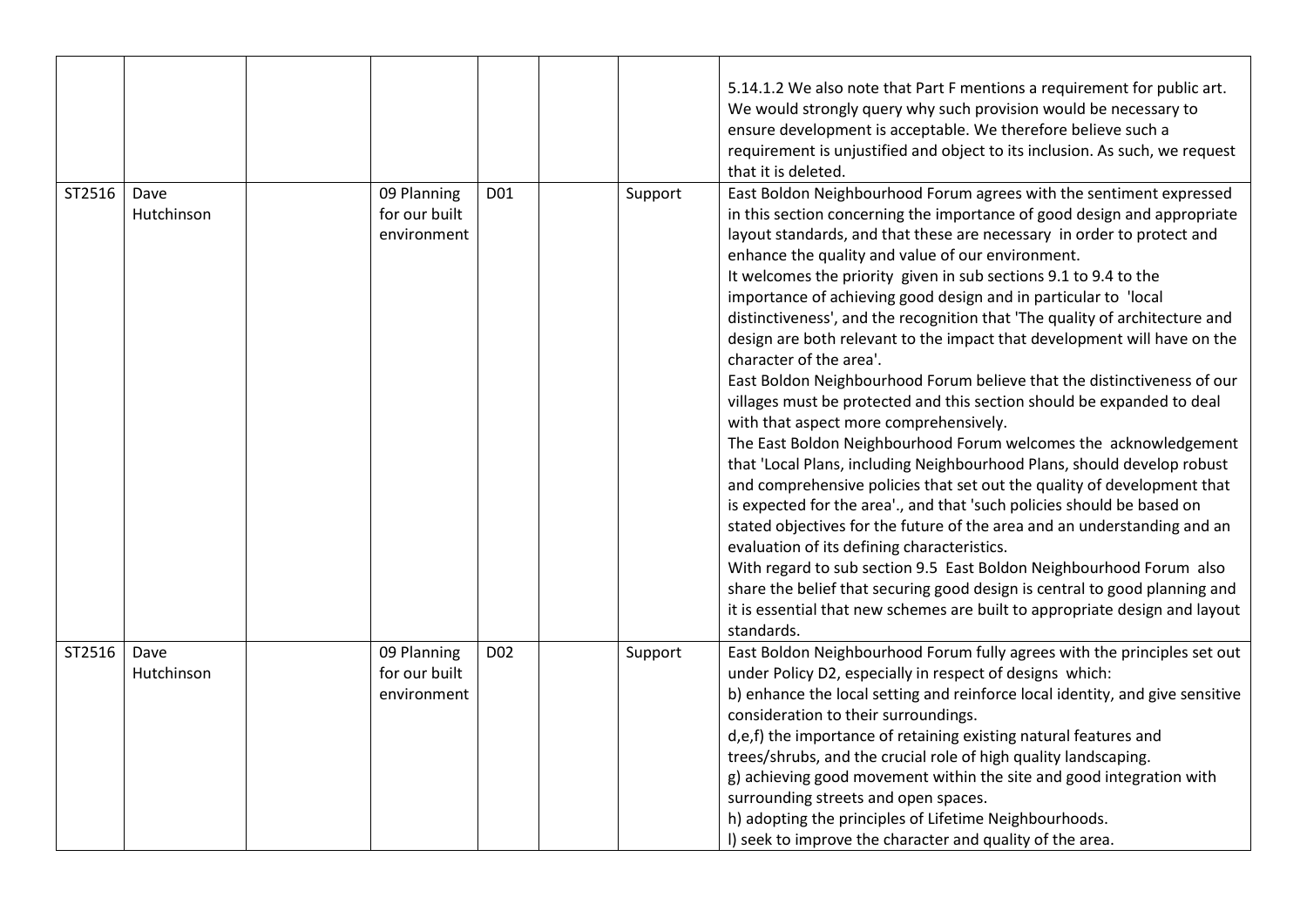|        |                    |                                             |                 |         | 5.14.1.2 We also note that Part F mentions a requirement for public art.<br>We would strongly query why such provision would be necessary to<br>ensure development is acceptable. We therefore believe such a<br>requirement is unjustified and object to its inclusion. As such, we request<br>that it is deleted.                                                                                                                                                                                                                                                                                                                                                                                                                                                                                                                                                                                                                                                                                                                                                                                                                                                                                                                                                                                                                                                                                                                                                                         |
|--------|--------------------|---------------------------------------------|-----------------|---------|---------------------------------------------------------------------------------------------------------------------------------------------------------------------------------------------------------------------------------------------------------------------------------------------------------------------------------------------------------------------------------------------------------------------------------------------------------------------------------------------------------------------------------------------------------------------------------------------------------------------------------------------------------------------------------------------------------------------------------------------------------------------------------------------------------------------------------------------------------------------------------------------------------------------------------------------------------------------------------------------------------------------------------------------------------------------------------------------------------------------------------------------------------------------------------------------------------------------------------------------------------------------------------------------------------------------------------------------------------------------------------------------------------------------------------------------------------------------------------------------|
| ST2516 | Dave<br>Hutchinson | 09 Planning<br>for our built<br>environment | D01             | Support | East Boldon Neighbourhood Forum agrees with the sentiment expressed<br>in this section concerning the importance of good design and appropriate<br>layout standards, and that these are necessary in order to protect and<br>enhance the quality and value of our environment.<br>It welcomes the priority given in sub sections 9.1 to 9.4 to the<br>importance of achieving good design and in particular to 'local<br>distinctiveness', and the recognition that 'The quality of architecture and<br>design are both relevant to the impact that development will have on the<br>character of the area'.<br>East Boldon Neighbourhood Forum believe that the distinctiveness of our<br>villages must be protected and this section should be expanded to deal<br>with that aspect more comprehensively.<br>The East Boldon Neighbourhood Forum welcomes the acknowledgement<br>that 'Local Plans, including Neighbourhood Plans, should develop robust<br>and comprehensive policies that set out the quality of development that<br>is expected for the area'., and that 'such policies should be based on<br>stated objectives for the future of the area and an understanding and an<br>evaluation of its defining characteristics.<br>With regard to sub section 9.5 East Boldon Neighbourhood Forum also<br>share the belief that securing good design is central to good planning and<br>it is essential that new schemes are built to appropriate design and layout<br>standards. |
| ST2516 | Dave<br>Hutchinson | 09 Planning<br>for our built<br>environment | D <sub>02</sub> | Support | East Boldon Neighbourhood Forum fully agrees with the principles set out<br>under Policy D2, especially in respect of designs which:<br>b) enhance the local setting and reinforce local identity, and give sensitive<br>consideration to their surroundings.<br>d,e,f) the importance of retaining existing natural features and<br>trees/shrubs, and the crucial role of high quality landscaping.<br>g) achieving good movement within the site and good integration with<br>surrounding streets and open spaces.<br>h) adopting the principles of Lifetime Neighbourhoods.<br>I) seek to improve the character and quality of the area.                                                                                                                                                                                                                                                                                                                                                                                                                                                                                                                                                                                                                                                                                                                                                                                                                                                 |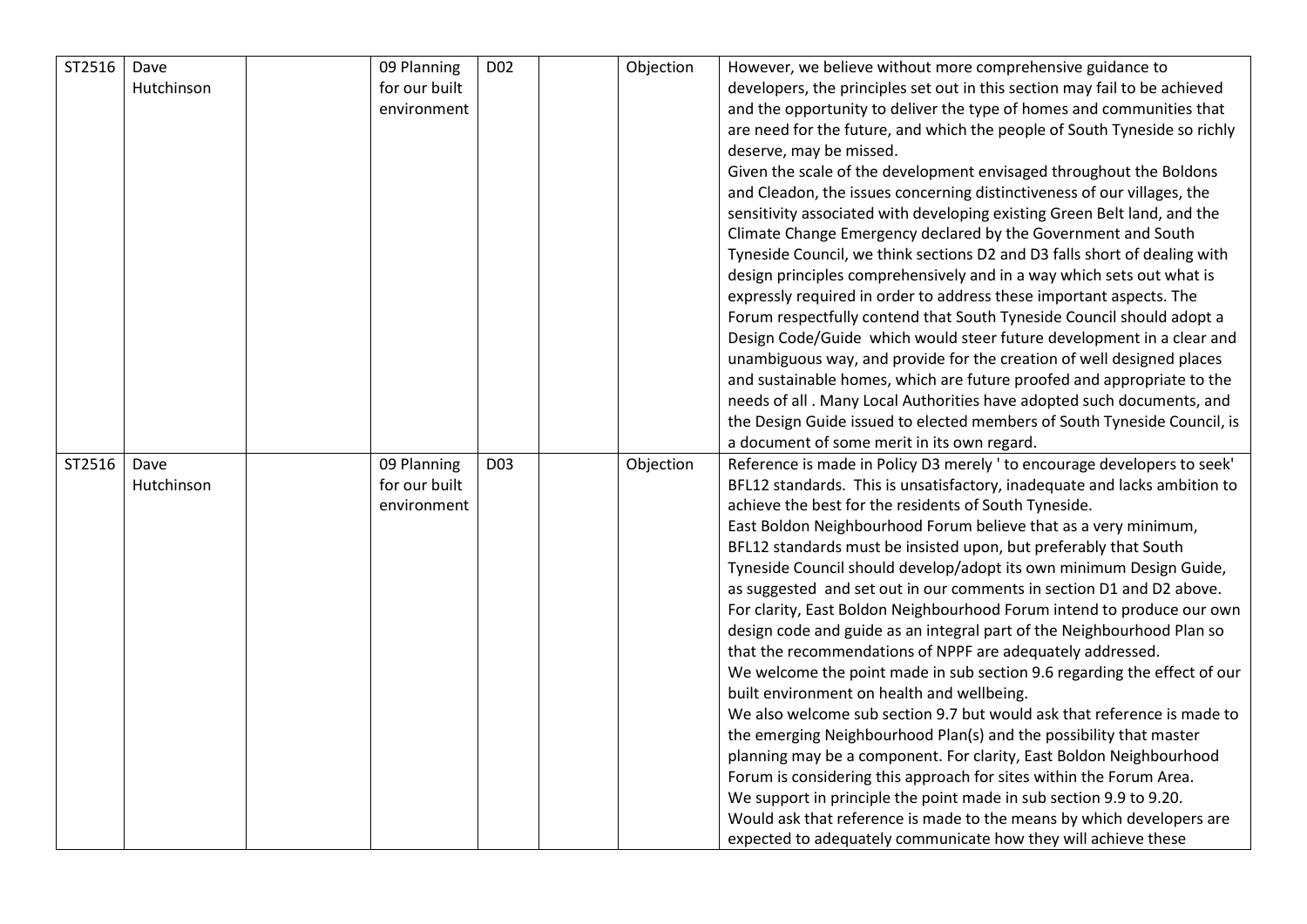| ST2516 | Dave       | 09 Planning   | D <sub>02</sub> | Objection | However, we believe without more comprehensive guidance to                                                                                |
|--------|------------|---------------|-----------------|-----------|-------------------------------------------------------------------------------------------------------------------------------------------|
|        | Hutchinson | for our built |                 |           | developers, the principles set out in this section may fail to be achieved                                                                |
|        |            | environment   |                 |           | and the opportunity to deliver the type of homes and communities that                                                                     |
|        |            |               |                 |           | are need for the future, and which the people of South Tyneside so richly                                                                 |
|        |            |               |                 |           | deserve, may be missed.                                                                                                                   |
|        |            |               |                 |           | Given the scale of the development envisaged throughout the Boldons                                                                       |
|        |            |               |                 |           | and Cleadon, the issues concerning distinctiveness of our villages, the                                                                   |
|        |            |               |                 |           | sensitivity associated with developing existing Green Belt land, and the                                                                  |
|        |            |               |                 |           | Climate Change Emergency declared by the Government and South                                                                             |
|        |            |               |                 |           | Tyneside Council, we think sections D2 and D3 falls short of dealing with                                                                 |
|        |            |               |                 |           | design principles comprehensively and in a way which sets out what is                                                                     |
|        |            |               |                 |           | expressly required in order to address these important aspects. The                                                                       |
|        |            |               |                 |           | Forum respectfully contend that South Tyneside Council should adopt a                                                                     |
|        |            |               |                 |           | Design Code/Guide which would steer future development in a clear and                                                                     |
|        |            |               |                 |           | unambiguous way, and provide for the creation of well designed places                                                                     |
|        |            |               |                 |           | and sustainable homes, which are future proofed and appropriate to the                                                                    |
|        |            |               |                 |           | needs of all. Many Local Authorities have adopted such documents, and                                                                     |
|        |            |               |                 |           | the Design Guide issued to elected members of South Tyneside Council, is                                                                  |
|        |            |               |                 |           | a document of some merit in its own regard.                                                                                               |
| ST2516 | Dave       | 09 Planning   | D <sub>03</sub> | Objection | Reference is made in Policy D3 merely ' to encourage developers to seek'                                                                  |
|        | Hutchinson | for our built |                 |           | BFL12 standards. This is unsatisfactory, inadequate and lacks ambition to                                                                 |
|        |            | environment   |                 |           | achieve the best for the residents of South Tyneside.                                                                                     |
|        |            |               |                 |           | East Boldon Neighbourhood Forum believe that as a very minimum,                                                                           |
|        |            |               |                 |           | BFL12 standards must be insisted upon, but preferably that South                                                                          |
|        |            |               |                 |           | Tyneside Council should develop/adopt its own minimum Design Guide,                                                                       |
|        |            |               |                 |           | as suggested and set out in our comments in section D1 and D2 above.                                                                      |
|        |            |               |                 |           | For clarity, East Boldon Neighbourhood Forum intend to produce our own                                                                    |
|        |            |               |                 |           | design code and guide as an integral part of the Neighbourhood Plan so                                                                    |
|        |            |               |                 |           | that the recommendations of NPPF are adequately addressed.                                                                                |
|        |            |               |                 |           | We welcome the point made in sub section 9.6 regarding the effect of our                                                                  |
|        |            |               |                 |           | built environment on health and wellbeing.                                                                                                |
|        |            |               |                 |           | We also welcome sub section 9.7 but would ask that reference is made to                                                                   |
|        |            |               |                 |           | the emerging Neighbourhood Plan(s) and the possibility that master                                                                        |
|        |            |               |                 |           | planning may be a component. For clarity, East Boldon Neighbourhood                                                                       |
|        |            |               |                 |           | Forum is considering this approach for sites within the Forum Area.<br>We support in principle the point made in sub section 9.9 to 9.20. |
|        |            |               |                 |           | Would ask that reference is made to the means by which developers are                                                                     |
|        |            |               |                 |           | expected to adequately communicate how they will achieve these                                                                            |
|        |            |               |                 |           |                                                                                                                                           |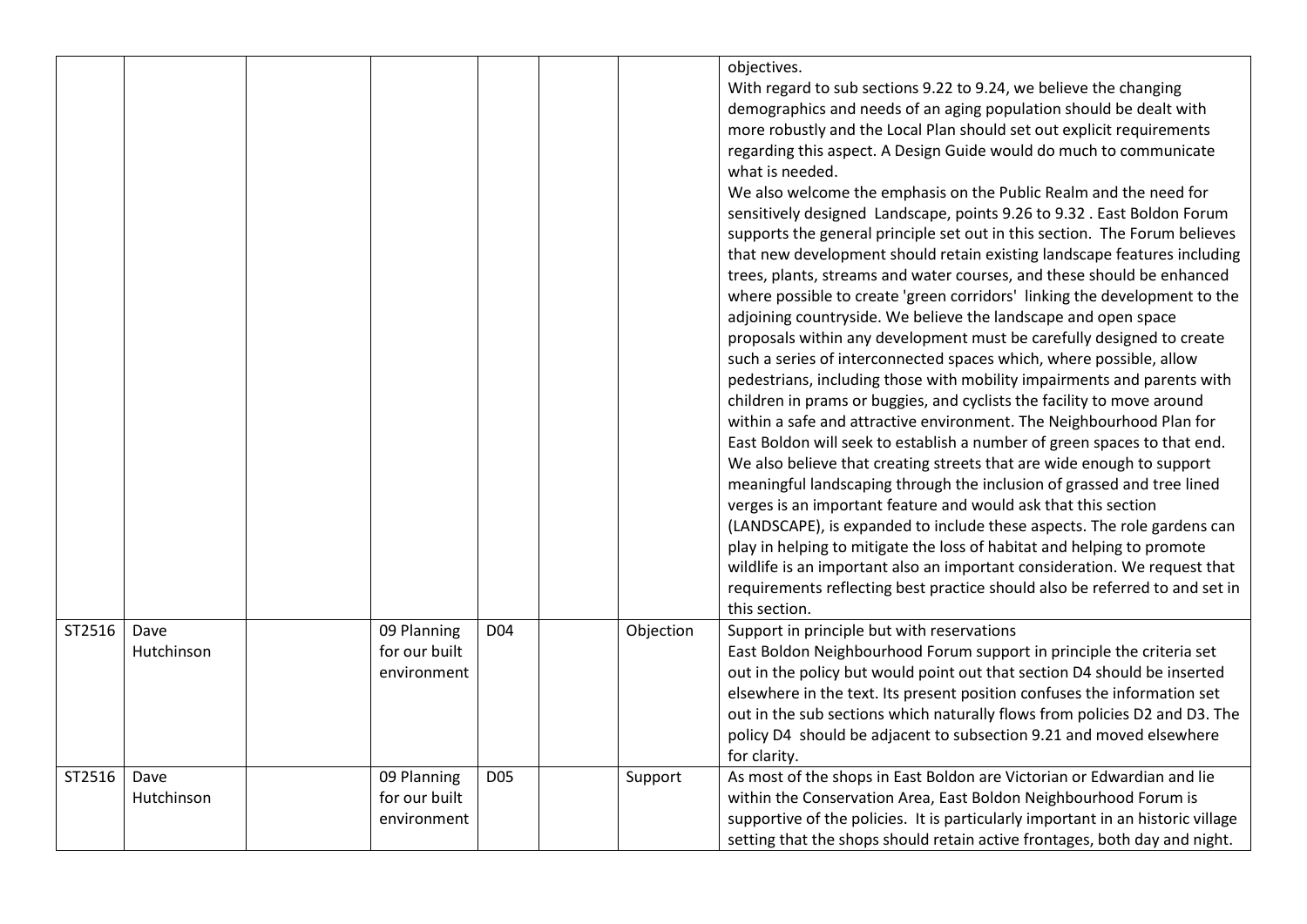|        |                    |                                             |                 |           | objectives.<br>With regard to sub sections 9.22 to 9.24, we believe the changing<br>demographics and needs of an aging population should be dealt with<br>more robustly and the Local Plan should set out explicit requirements<br>regarding this aspect. A Design Guide would do much to communicate<br>what is needed.<br>We also welcome the emphasis on the Public Realm and the need for<br>sensitively designed Landscape, points 9.26 to 9.32. East Boldon Forum<br>supports the general principle set out in this section. The Forum believes<br>that new development should retain existing landscape features including<br>trees, plants, streams and water courses, and these should be enhanced<br>where possible to create 'green corridors' linking the development to the<br>adjoining countryside. We believe the landscape and open space<br>proposals within any development must be carefully designed to create<br>such a series of interconnected spaces which, where possible, allow<br>pedestrians, including those with mobility impairments and parents with<br>children in prams or buggies, and cyclists the facility to move around<br>within a safe and attractive environment. The Neighbourhood Plan for<br>East Boldon will seek to establish a number of green spaces to that end.<br>We also believe that creating streets that are wide enough to support<br>meaningful landscaping through the inclusion of grassed and tree lined<br>verges is an important feature and would ask that this section<br>(LANDSCAPE), is expanded to include these aspects. The role gardens can<br>play in helping to mitigate the loss of habitat and helping to promote<br>wildlife is an important also an important consideration. We request that<br>requirements reflecting best practice should also be referred to and set in<br>this section. |
|--------|--------------------|---------------------------------------------|-----------------|-----------|----------------------------------------------------------------------------------------------------------------------------------------------------------------------------------------------------------------------------------------------------------------------------------------------------------------------------------------------------------------------------------------------------------------------------------------------------------------------------------------------------------------------------------------------------------------------------------------------------------------------------------------------------------------------------------------------------------------------------------------------------------------------------------------------------------------------------------------------------------------------------------------------------------------------------------------------------------------------------------------------------------------------------------------------------------------------------------------------------------------------------------------------------------------------------------------------------------------------------------------------------------------------------------------------------------------------------------------------------------------------------------------------------------------------------------------------------------------------------------------------------------------------------------------------------------------------------------------------------------------------------------------------------------------------------------------------------------------------------------------------------------------------------------------------------------------------------------------------------------------------------|
| ST2516 | Dave<br>Hutchinson | 09 Planning<br>for our built<br>environment | D <sub>04</sub> | Objection | Support in principle but with reservations<br>East Boldon Neighbourhood Forum support in principle the criteria set<br>out in the policy but would point out that section D4 should be inserted<br>elsewhere in the text. Its present position confuses the information set<br>out in the sub sections which naturally flows from policies D2 and D3. The<br>policy D4 should be adjacent to subsection 9.21 and moved elsewhere<br>for clarity.                                                                                                                                                                                                                                                                                                                                                                                                                                                                                                                                                                                                                                                                                                                                                                                                                                                                                                                                                                                                                                                                                                                                                                                                                                                                                                                                                                                                                           |
| ST2516 | Dave<br>Hutchinson | 09 Planning<br>for our built<br>environment | <b>D05</b>      | Support   | As most of the shops in East Boldon are Victorian or Edwardian and lie<br>within the Conservation Area, East Boldon Neighbourhood Forum is<br>supportive of the policies. It is particularly important in an historic village<br>setting that the shops should retain active frontages, both day and night.                                                                                                                                                                                                                                                                                                                                                                                                                                                                                                                                                                                                                                                                                                                                                                                                                                                                                                                                                                                                                                                                                                                                                                                                                                                                                                                                                                                                                                                                                                                                                                |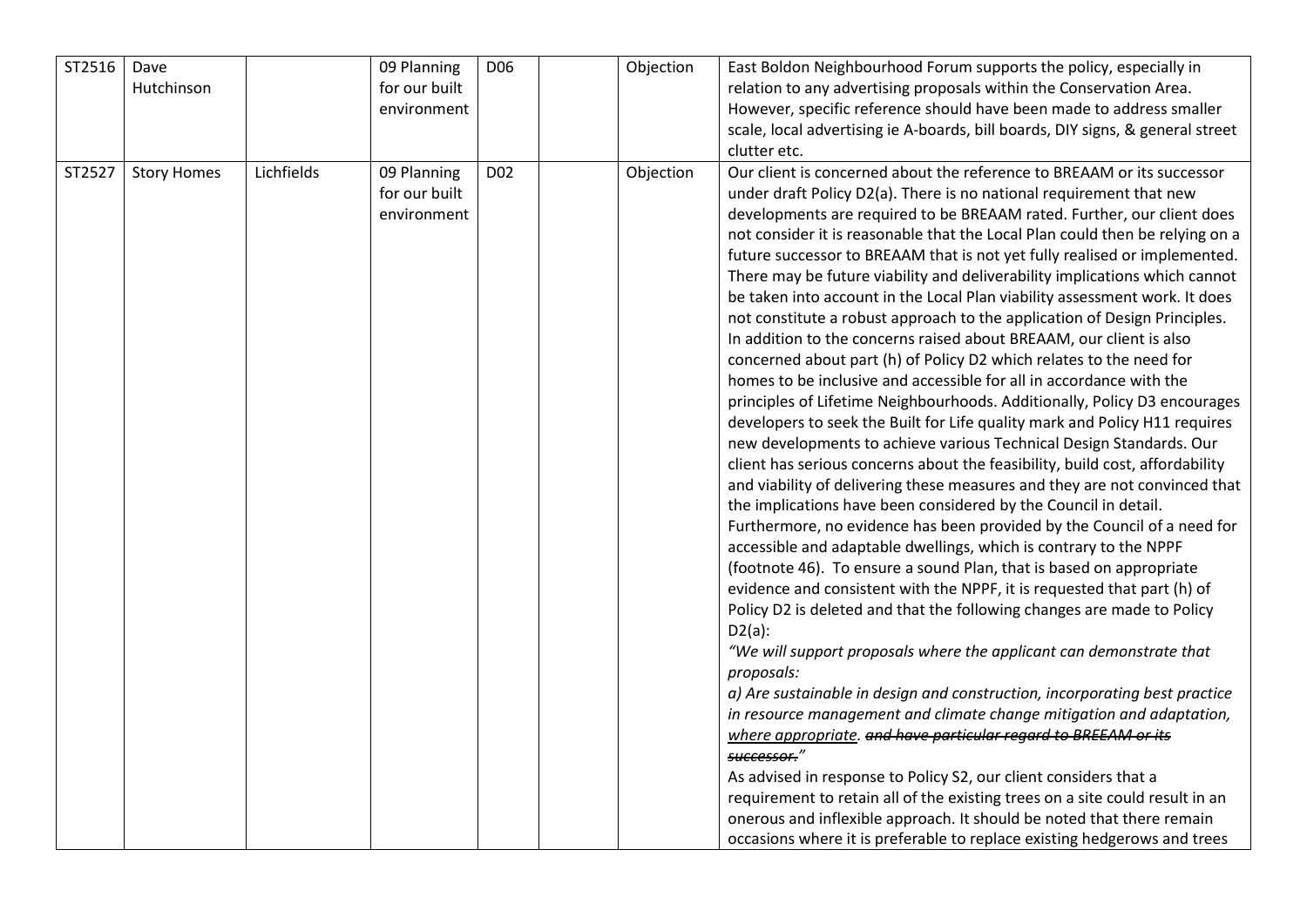| ST2516 | Dave<br>Hutchinson |            | 09 Planning<br>for our built<br>environment | D <sub>06</sub> | Objection | East Boldon Neighbourhood Forum supports the policy, especially in<br>relation to any advertising proposals within the Conservation Area.<br>However, specific reference should have been made to address smaller<br>scale, local advertising ie A-boards, bill boards, DIY signs, & general street<br>clutter etc.                                                                                                                                                                                                                                                                                                                                                                                                                                                                                                                                                                                                                                                                                                                                                                                                                                                                                                                                                                                                                                                                                                                                                                                                                                                                                                                                                                                                                                                                                                                                                                                                                                                                                                                                                                                                                                                                                                                                                                                                                                 |
|--------|--------------------|------------|---------------------------------------------|-----------------|-----------|-----------------------------------------------------------------------------------------------------------------------------------------------------------------------------------------------------------------------------------------------------------------------------------------------------------------------------------------------------------------------------------------------------------------------------------------------------------------------------------------------------------------------------------------------------------------------------------------------------------------------------------------------------------------------------------------------------------------------------------------------------------------------------------------------------------------------------------------------------------------------------------------------------------------------------------------------------------------------------------------------------------------------------------------------------------------------------------------------------------------------------------------------------------------------------------------------------------------------------------------------------------------------------------------------------------------------------------------------------------------------------------------------------------------------------------------------------------------------------------------------------------------------------------------------------------------------------------------------------------------------------------------------------------------------------------------------------------------------------------------------------------------------------------------------------------------------------------------------------------------------------------------------------------------------------------------------------------------------------------------------------------------------------------------------------------------------------------------------------------------------------------------------------------------------------------------------------------------------------------------------------------------------------------------------------------------------------------------------------|
| ST2527 | <b>Story Homes</b> | Lichfields | 09 Planning<br>for our built<br>environment | D <sub>02</sub> | Objection | Our client is concerned about the reference to BREAAM or its successor<br>under draft Policy D2(a). There is no national requirement that new<br>developments are required to be BREAAM rated. Further, our client does<br>not consider it is reasonable that the Local Plan could then be relying on a<br>future successor to BREAAM that is not yet fully realised or implemented.<br>There may be future viability and deliverability implications which cannot<br>be taken into account in the Local Plan viability assessment work. It does<br>not constitute a robust approach to the application of Design Principles.<br>In addition to the concerns raised about BREAAM, our client is also<br>concerned about part (h) of Policy D2 which relates to the need for<br>homes to be inclusive and accessible for all in accordance with the<br>principles of Lifetime Neighbourhoods. Additionally, Policy D3 encourages<br>developers to seek the Built for Life quality mark and Policy H11 requires<br>new developments to achieve various Technical Design Standards. Our<br>client has serious concerns about the feasibility, build cost, affordability<br>and viability of delivering these measures and they are not convinced that<br>the implications have been considered by the Council in detail.<br>Furthermore, no evidence has been provided by the Council of a need for<br>accessible and adaptable dwellings, which is contrary to the NPPF<br>(footnote 46). To ensure a sound Plan, that is based on appropriate<br>evidence and consistent with the NPPF, it is requested that part (h) of<br>Policy D2 is deleted and that the following changes are made to Policy<br>$D2(a)$ :<br>"We will support proposals where the applicant can demonstrate that<br>proposals:<br>a) Are sustainable in design and construction, incorporating best practice<br>in resource management and climate change mitigation and adaptation,<br>where appropriate. and have particular regard to BREEAM or its<br>successor."<br>As advised in response to Policy S2, our client considers that a<br>requirement to retain all of the existing trees on a site could result in an<br>onerous and inflexible approach. It should be noted that there remain<br>occasions where it is preferable to replace existing hedgerows and trees |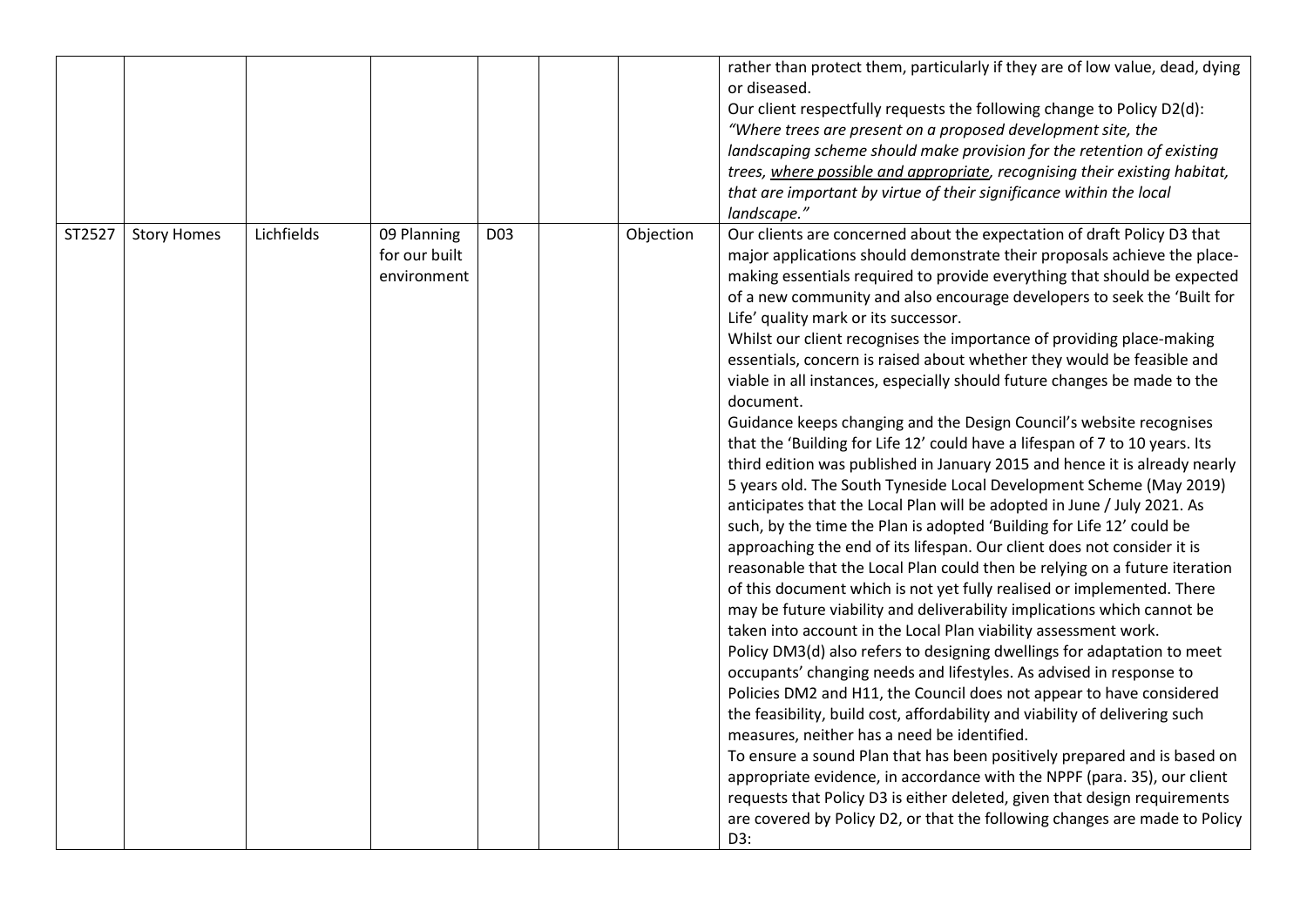|        |                    |            |                                             |                 |           | rather than protect them, particularly if they are of low value, dead, dying<br>or diseased.<br>Our client respectfully requests the following change to Policy D2(d):<br>"Where trees are present on a proposed development site, the<br>landscaping scheme should make provision for the retention of existing<br>trees, where possible and appropriate, recognising their existing habitat,<br>that are important by virtue of their significance within the local<br>landscape."                                                                                                                                                                                                                                                                                                                                                                                                                                                                                                                                                                                                                                                                                                                                                                                                                                                                                                                                                                                                                                                                                                                                                                                                                                                                                                                                                                                                                                                                                                                                                                                                                                             |
|--------|--------------------|------------|---------------------------------------------|-----------------|-----------|----------------------------------------------------------------------------------------------------------------------------------------------------------------------------------------------------------------------------------------------------------------------------------------------------------------------------------------------------------------------------------------------------------------------------------------------------------------------------------------------------------------------------------------------------------------------------------------------------------------------------------------------------------------------------------------------------------------------------------------------------------------------------------------------------------------------------------------------------------------------------------------------------------------------------------------------------------------------------------------------------------------------------------------------------------------------------------------------------------------------------------------------------------------------------------------------------------------------------------------------------------------------------------------------------------------------------------------------------------------------------------------------------------------------------------------------------------------------------------------------------------------------------------------------------------------------------------------------------------------------------------------------------------------------------------------------------------------------------------------------------------------------------------------------------------------------------------------------------------------------------------------------------------------------------------------------------------------------------------------------------------------------------------------------------------------------------------------------------------------------------------|
| ST2527 | <b>Story Homes</b> | Lichfields | 09 Planning<br>for our built<br>environment | D <sub>03</sub> | Objection | Our clients are concerned about the expectation of draft Policy D3 that<br>major applications should demonstrate their proposals achieve the place-<br>making essentials required to provide everything that should be expected<br>of a new community and also encourage developers to seek the 'Built for<br>Life' quality mark or its successor.<br>Whilst our client recognises the importance of providing place-making<br>essentials, concern is raised about whether they would be feasible and<br>viable in all instances, especially should future changes be made to the<br>document.<br>Guidance keeps changing and the Design Council's website recognises<br>that the 'Building for Life 12' could have a lifespan of 7 to 10 years. Its<br>third edition was published in January 2015 and hence it is already nearly<br>5 years old. The South Tyneside Local Development Scheme (May 2019)<br>anticipates that the Local Plan will be adopted in June / July 2021. As<br>such, by the time the Plan is adopted 'Building for Life 12' could be<br>approaching the end of its lifespan. Our client does not consider it is<br>reasonable that the Local Plan could then be relying on a future iteration<br>of this document which is not yet fully realised or implemented. There<br>may be future viability and deliverability implications which cannot be<br>taken into account in the Local Plan viability assessment work.<br>Policy DM3(d) also refers to designing dwellings for adaptation to meet<br>occupants' changing needs and lifestyles. As advised in response to<br>Policies DM2 and H11, the Council does not appear to have considered<br>the feasibility, build cost, affordability and viability of delivering such<br>measures, neither has a need be identified.<br>To ensure a sound Plan that has been positively prepared and is based on<br>appropriate evidence, in accordance with the NPPF (para. 35), our client<br>requests that Policy D3 is either deleted, given that design requirements<br>are covered by Policy D2, or that the following changes are made to Policy<br>D3: |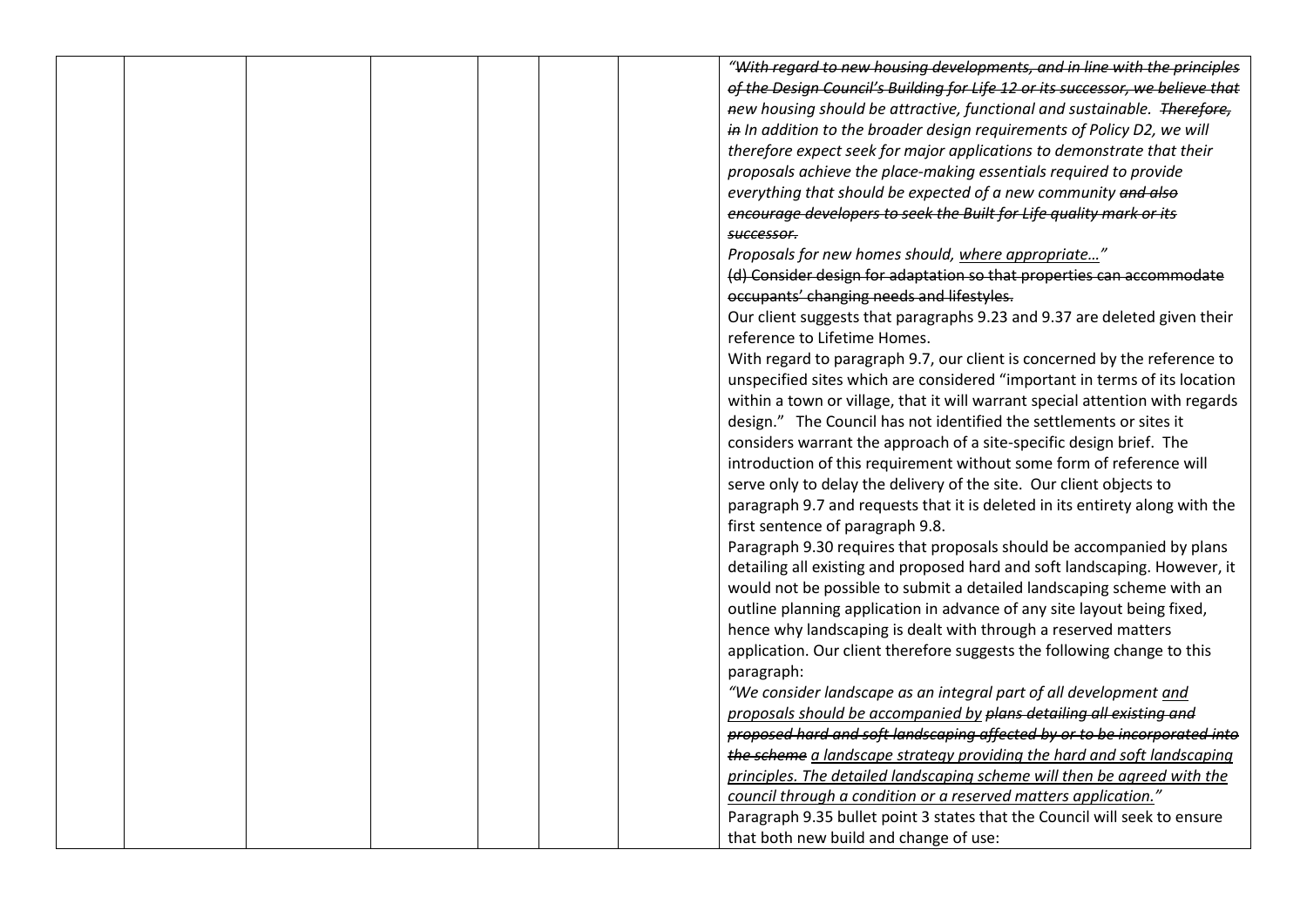|  |  |  | "With regard to new housing developments, and in line with the principles                                                   |
|--|--|--|-----------------------------------------------------------------------------------------------------------------------------|
|  |  |  | of the Design Council's Building for Life 12 or its successor, we believe that                                              |
|  |  |  | new housing should be attractive, functional and sustainable. Therefore,                                                    |
|  |  |  | in In addition to the broader design requirements of Policy D2, we will                                                     |
|  |  |  | therefore expect seek for major applications to demonstrate that their                                                      |
|  |  |  | proposals achieve the place-making essentials required to provide                                                           |
|  |  |  | everything that should be expected of a new community and also                                                              |
|  |  |  | encourage developers to seek the Built for Life quality mark or its                                                         |
|  |  |  | successor.                                                                                                                  |
|  |  |  |                                                                                                                             |
|  |  |  | Proposals for new homes should, where appropriate"<br>(d) Consider design for adaptation so that properties can accommodate |
|  |  |  |                                                                                                                             |
|  |  |  | occupants' changing needs and lifestyles.                                                                                   |
|  |  |  | Our client suggests that paragraphs 9.23 and 9.37 are deleted given their                                                   |
|  |  |  | reference to Lifetime Homes.                                                                                                |
|  |  |  | With regard to paragraph 9.7, our client is concerned by the reference to                                                   |
|  |  |  | unspecified sites which are considered "important in terms of its location                                                  |
|  |  |  | within a town or village, that it will warrant special attention with regards                                               |
|  |  |  | design." The Council has not identified the settlements or sites it                                                         |
|  |  |  | considers warrant the approach of a site-specific design brief. The                                                         |
|  |  |  | introduction of this requirement without some form of reference will                                                        |
|  |  |  | serve only to delay the delivery of the site. Our client objects to                                                         |
|  |  |  | paragraph 9.7 and requests that it is deleted in its entirety along with the                                                |
|  |  |  | first sentence of paragraph 9.8.                                                                                            |
|  |  |  | Paragraph 9.30 requires that proposals should be accompanied by plans                                                       |
|  |  |  | detailing all existing and proposed hard and soft landscaping. However, it                                                  |
|  |  |  | would not be possible to submit a detailed landscaping scheme with an                                                       |
|  |  |  | outline planning application in advance of any site layout being fixed,                                                     |
|  |  |  | hence why landscaping is dealt with through a reserved matters                                                              |
|  |  |  | application. Our client therefore suggests the following change to this                                                     |
|  |  |  | paragraph:                                                                                                                  |
|  |  |  | "We consider landscape as an integral part of all development and                                                           |
|  |  |  | proposals should be accompanied by plans detailing all existing and                                                         |
|  |  |  | proposed hard and soft landscaping affected by or to be incorporated into                                                   |
|  |  |  | the scheme a landscape strategy providing the hard and soft landscaping                                                     |
|  |  |  | principles. The detailed landscaping scheme will then be agreed with the                                                    |
|  |  |  | council through a condition or a reserved matters application."                                                             |
|  |  |  | Paragraph 9.35 bullet point 3 states that the Council will seek to ensure                                                   |
|  |  |  |                                                                                                                             |
|  |  |  | that both new build and change of use:                                                                                      |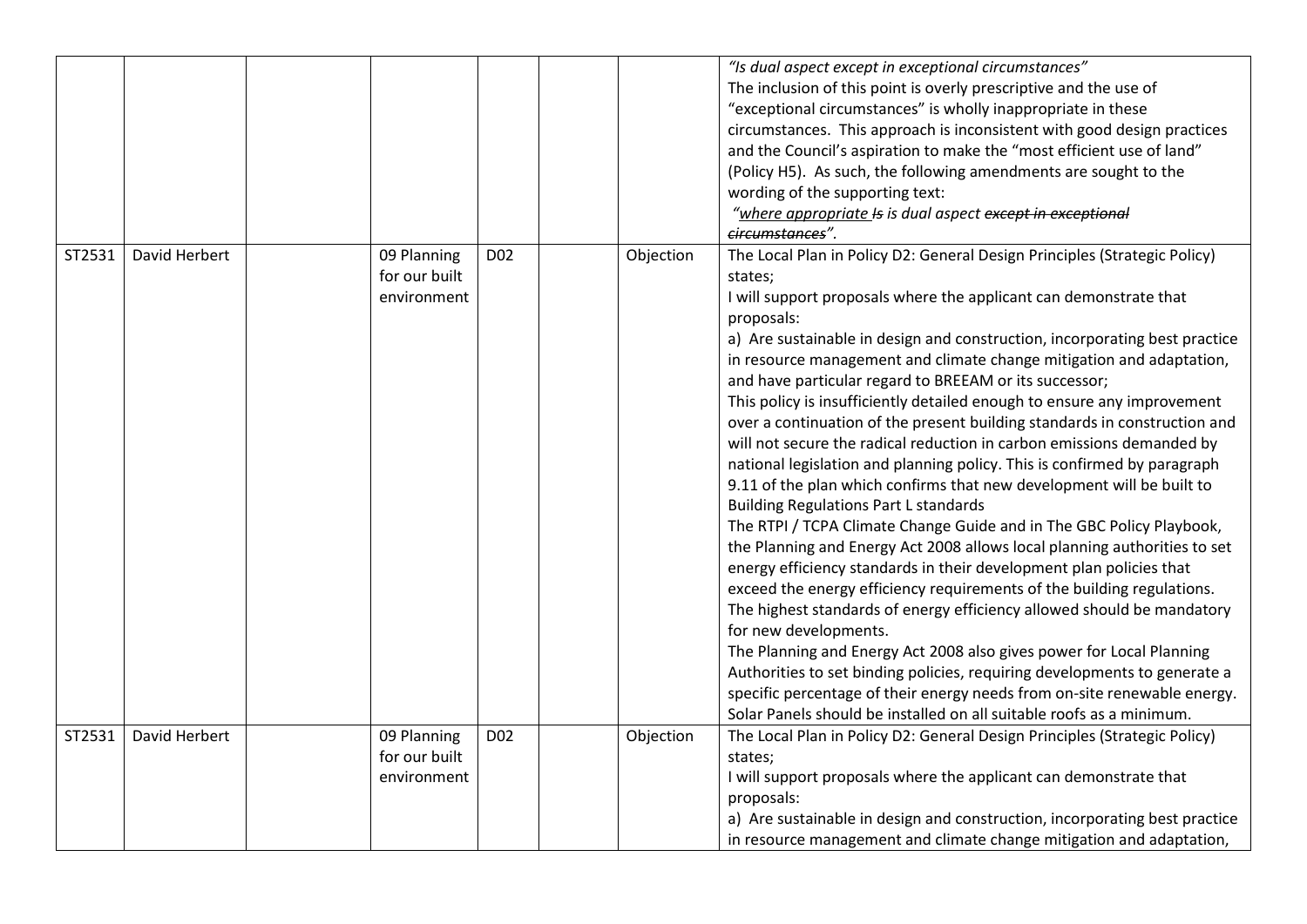|        |               |                                             |                 |           | "Is dual aspect except in exceptional circumstances"<br>The inclusion of this point is overly prescriptive and the use of<br>"exceptional circumstances" is wholly inappropriate in these<br>circumstances. This approach is inconsistent with good design practices<br>and the Council's aspiration to make the "most efficient use of land"<br>(Policy H5). As such, the following amendments are sought to the<br>wording of the supporting text:<br>"where appropriate Is is dual aspect except in exceptional<br>circumstances".                                                                                                                                                                                                                                                                                                                                                                                                                                                                                                                                                                                                                                                                                                                                                                                                                                                                                                                                                                                                           |
|--------|---------------|---------------------------------------------|-----------------|-----------|-------------------------------------------------------------------------------------------------------------------------------------------------------------------------------------------------------------------------------------------------------------------------------------------------------------------------------------------------------------------------------------------------------------------------------------------------------------------------------------------------------------------------------------------------------------------------------------------------------------------------------------------------------------------------------------------------------------------------------------------------------------------------------------------------------------------------------------------------------------------------------------------------------------------------------------------------------------------------------------------------------------------------------------------------------------------------------------------------------------------------------------------------------------------------------------------------------------------------------------------------------------------------------------------------------------------------------------------------------------------------------------------------------------------------------------------------------------------------------------------------------------------------------------------------|
| ST2531 | David Herbert | 09 Planning<br>for our built<br>environment | D <sub>02</sub> | Objection | The Local Plan in Policy D2: General Design Principles (Strategic Policy)<br>states;<br>I will support proposals where the applicant can demonstrate that<br>proposals:<br>a) Are sustainable in design and construction, incorporating best practice<br>in resource management and climate change mitigation and adaptation,<br>and have particular regard to BREEAM or its successor;<br>This policy is insufficiently detailed enough to ensure any improvement<br>over a continuation of the present building standards in construction and<br>will not secure the radical reduction in carbon emissions demanded by<br>national legislation and planning policy. This is confirmed by paragraph<br>9.11 of the plan which confirms that new development will be built to<br><b>Building Regulations Part L standards</b><br>The RTPI / TCPA Climate Change Guide and in The GBC Policy Playbook,<br>the Planning and Energy Act 2008 allows local planning authorities to set<br>energy efficiency standards in their development plan policies that<br>exceed the energy efficiency requirements of the building regulations.<br>The highest standards of energy efficiency allowed should be mandatory<br>for new developments.<br>The Planning and Energy Act 2008 also gives power for Local Planning<br>Authorities to set binding policies, requiring developments to generate a<br>specific percentage of their energy needs from on-site renewable energy.<br>Solar Panels should be installed on all suitable roofs as a minimum. |
| ST2531 | David Herbert | 09 Planning<br>for our built<br>environment | D <sub>02</sub> | Objection | The Local Plan in Policy D2: General Design Principles (Strategic Policy)<br>states;<br>I will support proposals where the applicant can demonstrate that<br>proposals:<br>a) Are sustainable in design and construction, incorporating best practice<br>in resource management and climate change mitigation and adaptation,                                                                                                                                                                                                                                                                                                                                                                                                                                                                                                                                                                                                                                                                                                                                                                                                                                                                                                                                                                                                                                                                                                                                                                                                                   |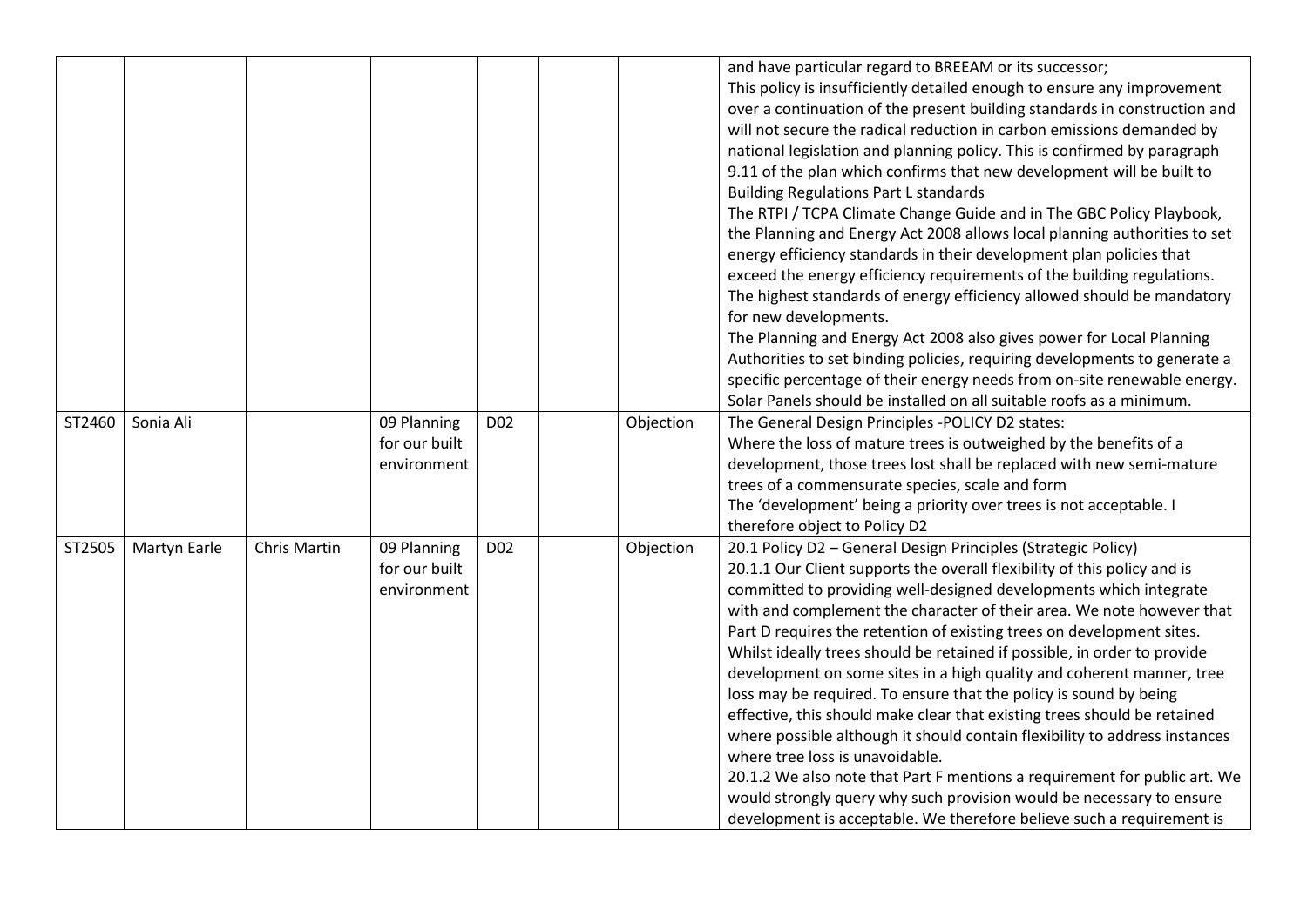|        |              |              |                                             |                 |           | and have particular regard to BREEAM or its successor;<br>This policy is insufficiently detailed enough to ensure any improvement<br>over a continuation of the present building standards in construction and<br>will not secure the radical reduction in carbon emissions demanded by<br>national legislation and planning policy. This is confirmed by paragraph<br>9.11 of the plan which confirms that new development will be built to<br><b>Building Regulations Part L standards</b><br>The RTPI / TCPA Climate Change Guide and in The GBC Policy Playbook,<br>the Planning and Energy Act 2008 allows local planning authorities to set<br>energy efficiency standards in their development plan policies that<br>exceed the energy efficiency requirements of the building regulations.<br>The highest standards of energy efficiency allowed should be mandatory<br>for new developments.<br>The Planning and Energy Act 2008 also gives power for Local Planning<br>Authorities to set binding policies, requiring developments to generate a<br>specific percentage of their energy needs from on-site renewable energy.<br>Solar Panels should be installed on all suitable roofs as a minimum. |
|--------|--------------|--------------|---------------------------------------------|-----------------|-----------|----------------------------------------------------------------------------------------------------------------------------------------------------------------------------------------------------------------------------------------------------------------------------------------------------------------------------------------------------------------------------------------------------------------------------------------------------------------------------------------------------------------------------------------------------------------------------------------------------------------------------------------------------------------------------------------------------------------------------------------------------------------------------------------------------------------------------------------------------------------------------------------------------------------------------------------------------------------------------------------------------------------------------------------------------------------------------------------------------------------------------------------------------------------------------------------------------------------|
| ST2460 | Sonia Ali    |              | 09 Planning<br>for our built<br>environment | D <sub>02</sub> | Objection | The General Design Principles -POLICY D2 states:<br>Where the loss of mature trees is outweighed by the benefits of a<br>development, those trees lost shall be replaced with new semi-mature<br>trees of a commensurate species, scale and form<br>The 'development' being a priority over trees is not acceptable. I<br>therefore object to Policy D2                                                                                                                                                                                                                                                                                                                                                                                                                                                                                                                                                                                                                                                                                                                                                                                                                                                        |
| ST2505 | Martyn Earle | Chris Martin | 09 Planning<br>for our built<br>environment | D02             | Objection | 20.1 Policy D2 - General Design Principles (Strategic Policy)<br>20.1.1 Our Client supports the overall flexibility of this policy and is<br>committed to providing well-designed developments which integrate<br>with and complement the character of their area. We note however that<br>Part D requires the retention of existing trees on development sites.<br>Whilst ideally trees should be retained if possible, in order to provide<br>development on some sites in a high quality and coherent manner, tree<br>loss may be required. To ensure that the policy is sound by being<br>effective, this should make clear that existing trees should be retained<br>where possible although it should contain flexibility to address instances<br>where tree loss is unavoidable.<br>20.1.2 We also note that Part F mentions a requirement for public art. We<br>would strongly query why such provision would be necessary to ensure<br>development is acceptable. We therefore believe such a requirement is                                                                                                                                                                                          |